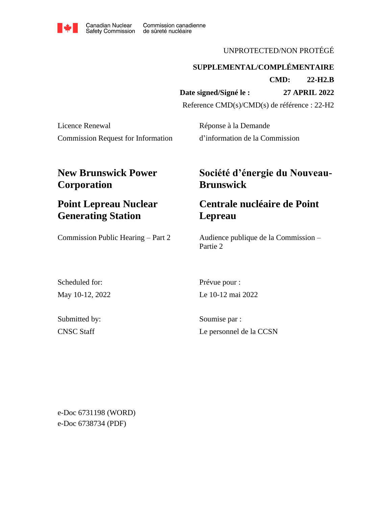

## UNPROTECTED/NON PROTÉGÉ

#### **SUPPLEMENTAL/COMPLÉMENTAIRE**

**CMD: 22-H2.B**

**Date signed/Signé le : 27 APRIL 2022**

Reference CMD(s)/CMD(s) de référence : 22-H2

Licence Renewal Commission Request for Information Réponse à la Demande d'information de la Commission

# **Société d'énergie du Nouveau-Brunswick**

## **Point Lepreau Nuclear Generating Station**

**New Brunswick Power** 

**Corporation**

# **Lepreau**

**Centrale nucléaire de Point** 

Commission Public Hearing – Part 2 Audience publique de la Commission – Partie 2

| Scheduled for:    | Prévue pour :           |
|-------------------|-------------------------|
| May 10-12, 2022   | Le 10-12 mai 2022       |
|                   |                         |
| Submitted by:     | Soumise par :           |
| <b>CNSC Staff</b> | Le personnel de la CCSN |

e-Doc 6731198 (WORD) e-Doc 6738734 (PDF)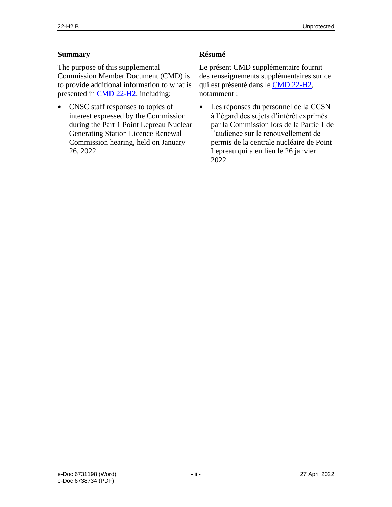## **Summary**

The purpose of this supplemental Commission Member Document (CMD) is to provide additional information to what is presented in **CMD 22-H2**, including:

• CNSC staff responses to topics of interest expressed by the Commission during the Part 1 Point Lepreau Nuclear Generating Station Licence Renewal Commission hearing, held on January 26, 2022.

## **Résumé**

Le présent CMD supplémentaire fournit des renseignements supplémentaires sur ce qui est présenté dans le [CMD 22-H2,](https://www.nuclearsafety.gc.ca/eng/the-commission/hearings/cmd/pdf/CMD22/CMD22-H2.pdf) notamment :

• Les réponses du personnel de la CCSN à l'égard des sujets d'intérêt exprimés par la Commission lors de la Partie 1 de l'audience sur le renouvellement de permis de la centrale nucléaire de Point Lepreau qui a eu lieu le 26 janvier 2022.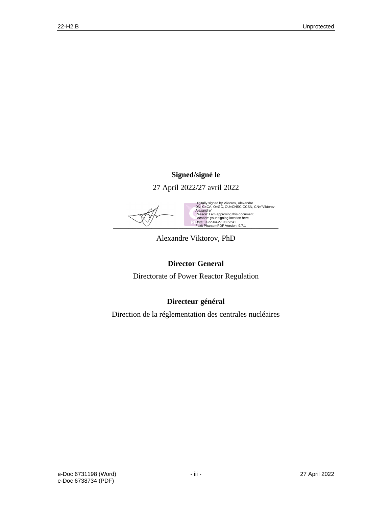## **Signed/signé le**

27 April 2022/27 avril 2022



Digitally signed by Viktorov, Alexandre DN: C=CA, O=GC, OU=CNSC-CCSN, CN="Viktorov, Alexandre" Reason: I am approving this document Location: your signing location here Date: 2022-04-27 08:53:41 Foxit PhantomPDF Version: 9.7.1

Alexandre Viktorov, PhD

## **Director General**

Directorate of Power Reactor Regulation

## **Directeur général**

Direction de la réglementation des centrales nucléaires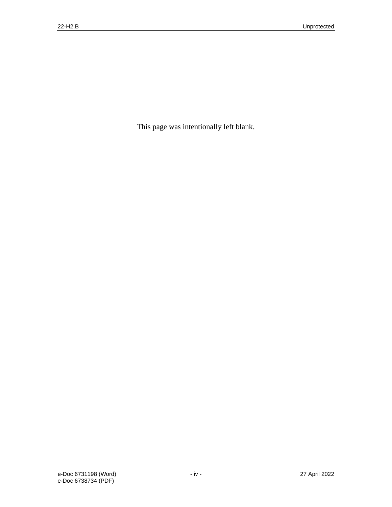This page was intentionally left blank.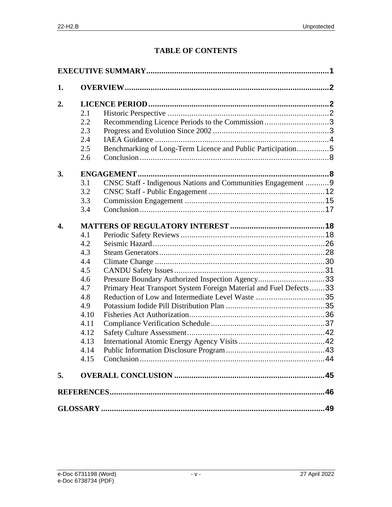## **TABLE OF CONTENTS**

| 1.               |                                                                                                     |                                                                                                                                                                                  |  |
|------------------|-----------------------------------------------------------------------------------------------------|----------------------------------------------------------------------------------------------------------------------------------------------------------------------------------|--|
| 2.<br>3.         | 2.1<br>2.2<br>2.3<br>2.4<br>2.5<br>2.6<br>3.1<br>3.2<br>3.3<br>3.4                                  | Recommending Licence Periods to the Commission 3<br>Benchmarking of Long-Term Licence and Public Participation5<br>CNSC Staff - Indigenous Nations and Communities Engagement  9 |  |
| $\overline{4}$ . | 4.1<br>4.2<br>4.3<br>4.4<br>4.5<br>4.6<br>4.7<br>4.8<br>4.9<br>4.10<br>4.11<br>4.12<br>4.13<br>4.14 | Pressure Boundary Authorized Inspection Agency33<br>Primary Heat Transport System Foreign Material and Fuel Defects33<br>Reduction of Low and Intermediate Level Waste 35        |  |
| 5.               |                                                                                                     |                                                                                                                                                                                  |  |
|                  |                                                                                                     |                                                                                                                                                                                  |  |
|                  |                                                                                                     |                                                                                                                                                                                  |  |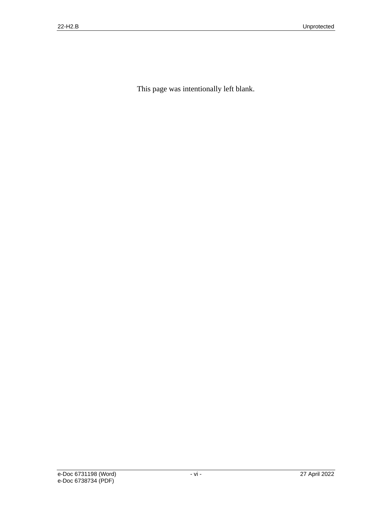This page was intentionally left blank.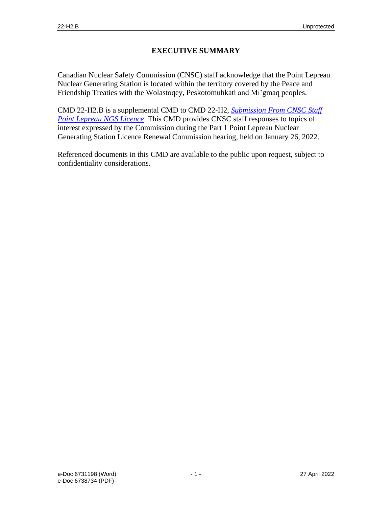## **EXECUTIVE SUMMARY**

<span id="page-6-0"></span>Canadian Nuclear Safety Commission (CNSC) staff acknowledge that the Point Lepreau Nuclear Generating Station is located within the territory covered by the Peace and Friendship Treaties with the Wolastoqey, Peskotomuhkati and Mi'gmaq peoples.

CMD 22-H2.B is a supplemental CMD to CMD 22-H2, *[Submission From CNSC](https://www.nuclearsafety.gc.ca/eng/the-commission/hearings/cmd/pdf/CMD22/CMD22-H2.pdf) Staff [Point Lepreau NGS](https://www.nuclearsafety.gc.ca/eng/the-commission/hearings/cmd/pdf/CMD22/CMD22-H2.pdf) Licence*. This CMD provides CNSC staff responses to topics of interest expressed by the Commission during the Part 1 Point Lepreau Nuclear Generating Station Licence Renewal Commission hearing, held on January 26, 2022.

Referenced documents in this CMD are available to the public upon request, subject to confidentiality considerations.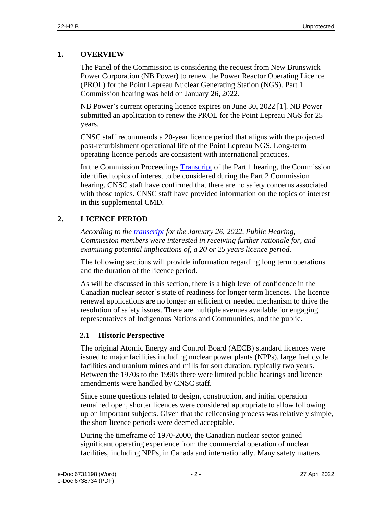## <span id="page-7-0"></span>**1. OVERVIEW**

The Panel of the Commission is considering the request from New Brunswick Power Corporation (NB Power) to renew the Power Reactor Operating Licence (PROL) for the Point Lepreau Nuclear Generating Station (NGS). Part 1 Commission hearing was held on January 26, 2022.

NB Power's current operating licence expires on June 30, 2022 [\[1\]](#page-55-1). NB Power submitted an application to renew the PROL for the Point Lepreau NGS for 25 years.

CNSC staff recommends a 20-year licence period that aligns with the projected post-refurbishment operational life of the Point Lepreau NGS. Long-term operating licence periods are consistent with international practices.

In the Commission Proceedings [Transcript](http://www.nuclearsafety.gc.ca/eng/the-commission/pdf/Transcript-Hearing-Jan26,2022-e.pdf) of the Part 1 hearing, the Commission identified topics of interest to be considered during the Part 2 Commission hearing. CNSC staff have confirmed that there are no safety concerns associated with those topics. CNSC staff have provided information on the topics of interest in this supplemental CMD.

## <span id="page-7-1"></span>**2. LICENCE PERIOD**

*According to the [transcript](http://www.nuclearsafety.gc.ca/eng/the-commission/pdf/Transcript-Hearing-Jan26,2022-e.pdf) for the January 26, 2022, Public Hearing, Commission members were interested in receiving further rationale for, and examining potential implications of, a 20 or 25 years licence period.*

The following sections will provide information regarding long term operations and the duration of the licence period.

As will be discussed in this section, there is a high level of confidence in the Canadian nuclear sector's state of readiness for longer term licences. The licence renewal applications are no longer an efficient or needed mechanism to drive the resolution of safety issues. There are multiple avenues available for engaging representatives of Indigenous Nations and Communities, and the public.

## <span id="page-7-2"></span>**2.1 Historic Perspective**

The original Atomic Energy and Control Board (AECB) standard licences were issued to major facilities including nuclear power plants (NPPs), large fuel cycle facilities and uranium mines and mills for sort duration, typically two years. Between the 1970s to the 1990s there were limited public hearings and licence amendments were handled by CNSC staff.

Since some questions related to design, construction, and initial operation remained open, shorter licences were considered appropriate to allow following up on important subjects. Given that the relicensing process was relatively simple, the short licence periods were deemed acceptable.

During the timeframe of 1970-2000, the Canadian nuclear sector gained significant operating experience from the commercial operation of nuclear facilities, including NPPs, in Canada and internationally. Many safety matters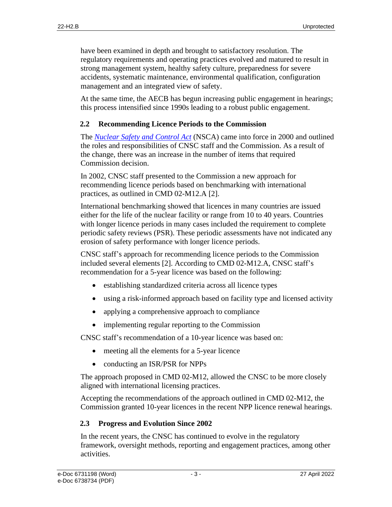have been examined in depth and brought to satisfactory resolution. The regulatory requirements and operating practices evolved and matured to result in strong management system, healthy safety culture, preparedness for severe accidents, systematic maintenance, environmental qualification, configuration management and an integrated view of safety.

At the same time, the AECB has begun increasing public engagement in hearings; this process intensified since 1990s leading to a robust public engagement.

#### <span id="page-8-0"></span>**2.2 Recommending Licence Periods to the Commission**

The *[Nuclear](https://laws-lois.justice.gc.ca/eng/acts/n-28.3/) Safety and Control Act* (NSCA) came into force in 2000 and outlined the roles and responsibilities of CNSC staff and the Commission. As a result of the change, there was an increase in the number of items that required Commission decision.

In 2002, CNSC staff presented to the Commission a new approach for recommending licence periods based on benchmarking with international practices, as outlined in CMD 02-M12.A [\[2\]](#page-55-2).

International benchmarking showed that licences in many countries are issued either for the life of the nuclear facility or range from 10 to 40 years. Countries with longer licence periods in many cases included the requirement to complete periodic safety reviews (PSR). These periodic assessments have not indicated any erosion of safety performance with longer licence periods.

CNSC staff's approach for recommending licence periods to the Commission included several elements [\[2\]](#page-55-2). According to CMD 02-M12.A, CNSC staff's recommendation for a 5-year licence was based on the following:

- establishing standardized criteria across all licence types
- using a risk-informed approach based on facility type and licensed activity
- applying a comprehensive approach to compliance
- implementing regular reporting to the Commission

CNSC staff's recommendation of a 10-year licence was based on:

- meeting all the elements for a 5-year licence
- conducting an ISR/PSR for NPPs

The approach proposed in CMD 02-M12, allowed the CNSC to be more closely aligned with international licensing practices.

Accepting the recommendations of the approach outlined in CMD 02-M12, the Commission granted 10-year licences in the recent NPP licence renewal hearings.

#### <span id="page-8-1"></span>**2.3 Progress and Evolution Since 2002**

In the recent years, the CNSC has continued to evolve in the regulatory framework, oversight methods, reporting and engagement practices, among other activities.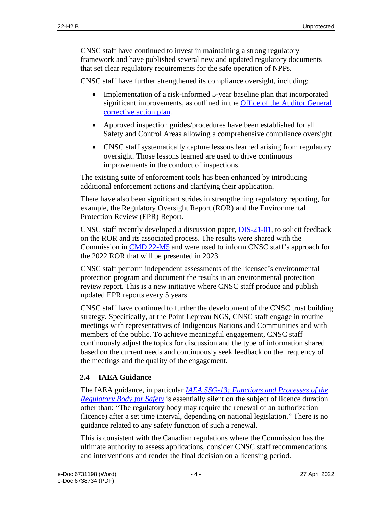CNSC staff have continued to invest in maintaining a strong regulatory framework and have published several new and updated regulatory documents that set clear regulatory requirements for the safe operation of NPPs.

CNSC staff have further strengthened its compliance oversight, including:

- Implementation of a risk-informed 5-year baseline plan that incorporated significant improvements, as outlined in the Office of the Auditor [General](https://nuclearsafety.gc.ca/eng/resources/publications/reports/auditor-general/index.cfm) [corrective action](https://nuclearsafety.gc.ca/eng/resources/publications/reports/auditor-general/index.cfm) plan.
- Approved inspection guides/procedures have been established for all Safety and Control Areas allowing a comprehensive compliance oversight.
- CNSC staff systematically capture lessons learned arising from regulatory oversight. Those lessons learned are used to drive continuous improvements in the conduct of inspections.

The existing suite of enforcement tools has been enhanced by introducing additional enforcement actions and clarifying their application.

There have also been significant strides in strengthening regulatory reporting, for example, the Regulatory Oversight Report (ROR) and the Environmental Protection Review (EPR) Report.

CNSC staff recently developed a discussion paper, [DIS-21-01,](https://nuclearsafety.gc.ca/eng/acts-and-regulations/consultation/history/regulatory-oversight-report-review-dis-21-01.cfm) to solicit feedback on the ROR and its associated process. The results were shared with the Commission in CMD [22-M5](http://www.nuclearsafety.gc.ca/eng/the-commission/pdf/Transcript-Meeting-Jan27,2022-e.pdf) and were used to inform CNSC staff's approach for the 2022 ROR that will be presented in 2023.

CNSC staff perform independent assessments of the licensee's environmental protection program and document the results in an environmental protection review report. This is a new initiative where CNSC staff produce and publish updated EPR reports every 5 years.

CNSC staff have continued to further the development of the CNSC trust building strategy. Specifically, at the Point Lepreau NGS, CNSC staff engage in routine meetings with representatives of Indigenous Nations and Communities and with members of the public. To achieve meaningful engagement, CNSC staff continuously adjust the topics for discussion and the type of information shared based on the current needs and continuously seek feedback on the frequency of the meetings and the quality of the engagement.

## <span id="page-9-0"></span>**2.4 IAEA Guidance**

The IAEA guidance, in particular *IAEA [SSG-13: Functions and Processes of the](https://www-pub.iaea.org/MTCD/Publications/PDF/P1804_web.pdf)  [Regulatory Body for Safety](https://www-pub.iaea.org/MTCD/Publications/PDF/P1804_web.pdf)* is essentially silent on the subject of licence duration other than: "The regulatory body may require the renewal of an authorization (licence) after a set time interval, depending on national legislation." There is no guidance related to any safety function of such a renewal.

This is consistent with the Canadian regulations where the Commission has the ultimate authority to assess applications, consider CNSC staff recommendations and interventions and render the final decision on a licensing period.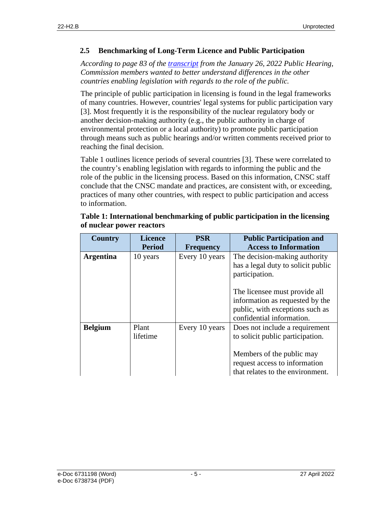### <span id="page-10-0"></span>**2.5 Benchmarking of Long-Term Licence and Public Participation**

*According to page 83 of the [transcript](http://www.nuclearsafety.gc.ca/eng/the-commission/pdf/Transcript-Hearing-Jan26,2022-e.pdf) from the January 26, 2022 Public Hearing, Commission members wanted to better understand differences in the other countries enabling legislation with regards to the role of the public.*

The principle of public participation in licensing is found in the legal frameworks of many countries. However, countries' legal systems for public participation vary [\[3\]](#page-55-3). Most frequently it is the responsibility of the nuclear regulatory body or another decision-making authority (e.g., the public authority in charge of environmental protection or a local authority) to promote public participation through means such as public hearings and/or written comments received prior to reaching the final decision.

[Table 1](#page-10-1) outlines licence periods of several countries [\[3\]](#page-55-3). These were correlated to the country's enabling legislation with regards to informing the public and the role of the public in the licensing process. Based on this information, CNSC staff conclude that the CNSC mandate and practices, are consistent with, or exceeding, practices of many other countries, with respect to public participation and access to information.

| <b>Country</b>   | <b>Licence</b>    | <b>PSR</b>       | <b>Public Participation and</b>                                                                                                                                      |
|------------------|-------------------|------------------|----------------------------------------------------------------------------------------------------------------------------------------------------------------------|
|                  | <b>Period</b>     | <b>Frequency</b> | <b>Access to Information</b>                                                                                                                                         |
| <b>Argentina</b> | 10 years          | Every 10 years   | The decision-making authority<br>has a legal duty to solicit public<br>participation.                                                                                |
|                  |                   |                  | The licensee must provide all<br>information as requested by the<br>public, with exceptions such as<br>confidential information.                                     |
| <b>Belgium</b>   | Plant<br>lifetime | Every 10 years   | Does not include a requirement<br>to solicit public participation.<br>Members of the public may<br>request access to information<br>that relates to the environment. |

<span id="page-10-1"></span>

| Table 1: International benchmarking of public participation in the licensing |  |
|------------------------------------------------------------------------------|--|
| of nuclear power reactors                                                    |  |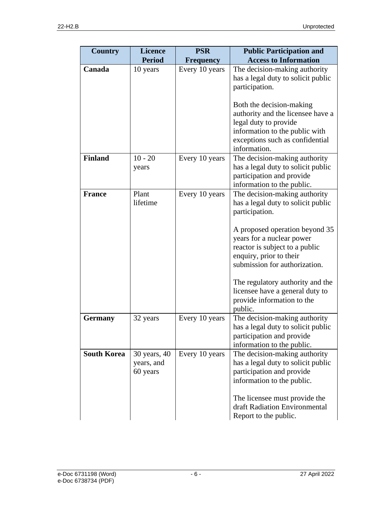| <b>Country</b>     | <b>Licence</b>                         | <b>PSR</b>       | <b>Public Participation and</b>                                                                                                                                                                                           |
|--------------------|----------------------------------------|------------------|---------------------------------------------------------------------------------------------------------------------------------------------------------------------------------------------------------------------------|
|                    | <b>Period</b>                          | <b>Frequency</b> | <b>Access to Information</b>                                                                                                                                                                                              |
| Canada             | 10 years                               | Every 10 years   | The decision-making authority<br>has a legal duty to solicit public<br>participation.                                                                                                                                     |
|                    |                                        |                  | Both the decision-making<br>authority and the licensee have a<br>legal duty to provide<br>information to the public with<br>exceptions such as confidential<br>information.                                               |
| <b>Finland</b>     | $10 - 20$<br>years                     | Every 10 years   | The decision-making authority<br>has a legal duty to solicit public<br>participation and provide<br>information to the public.                                                                                            |
| <b>France</b>      | Plant<br>lifetime                      | Every 10 years   | The decision-making authority<br>has a legal duty to solicit public<br>participation.                                                                                                                                     |
|                    |                                        |                  | A proposed operation beyond 35<br>years for a nuclear power<br>reactor is subject to a public<br>enquiry, prior to their<br>submission for authorization.                                                                 |
|                    |                                        |                  | The regulatory authority and the<br>licensee have a general duty to<br>provide information to the<br>public.                                                                                                              |
| <b>Germany</b>     | 32 years                               | Every 10 years   | The decision-making authority<br>has a legal duty to solicit public<br>participation and provide<br>information to the public.                                                                                            |
| <b>South Korea</b> | 30 years, 40<br>years, and<br>60 years | Every 10 years   | The decision-making authority<br>has a legal duty to solicit public<br>participation and provide<br>information to the public.<br>The licensee must provide the<br>draft Radiation Environmental<br>Report to the public. |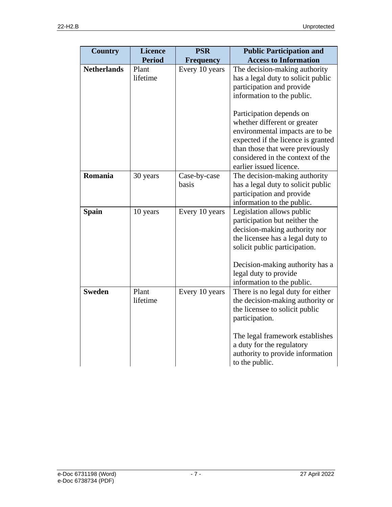| <b>Country</b>     | <b>Licence</b> | <b>PSR</b>       | <b>Public Participation and</b>    |
|--------------------|----------------|------------------|------------------------------------|
|                    | <b>Period</b>  | <b>Frequency</b> | <b>Access to Information</b>       |
| <b>Netherlands</b> | Plant          | Every 10 years   | The decision-making authority      |
|                    | lifetime       |                  | has a legal duty to solicit public |
|                    |                |                  | participation and provide          |
|                    |                |                  | information to the public.         |
|                    |                |                  | Participation depends on           |
|                    |                |                  | whether different or greater       |
|                    |                |                  | environmental impacts are to be    |
|                    |                |                  | expected if the licence is granted |
|                    |                |                  | than those that were previously    |
|                    |                |                  | considered in the context of the   |
|                    |                |                  | earlier issued licence.            |
| Romania            | 30 years       | Case-by-case     | The decision-making authority      |
|                    |                | basis            | has a legal duty to solicit public |
|                    |                |                  | participation and provide          |
|                    |                |                  | information to the public.         |
| <b>Spain</b>       | 10 years       | Every 10 years   | Legislation allows public          |
|                    |                |                  | participation but neither the      |
|                    |                |                  | decision-making authority nor      |
|                    |                |                  | the licensee has a legal duty to   |
|                    |                |                  | solicit public participation.      |
|                    |                |                  | Decision-making authority has a    |
|                    |                |                  | legal duty to provide              |
|                    |                |                  | information to the public.         |
| <b>Sweden</b>      | Plant          | Every 10 years   | There is no legal duty for either  |
|                    | lifetime       |                  | the decision-making authority or   |
|                    |                |                  | the licensee to solicit public     |
|                    |                |                  | participation.                     |
|                    |                |                  | The legal framework establishes    |
|                    |                |                  | a duty for the regulatory          |
|                    |                |                  | authority to provide information   |
|                    |                |                  | to the public.                     |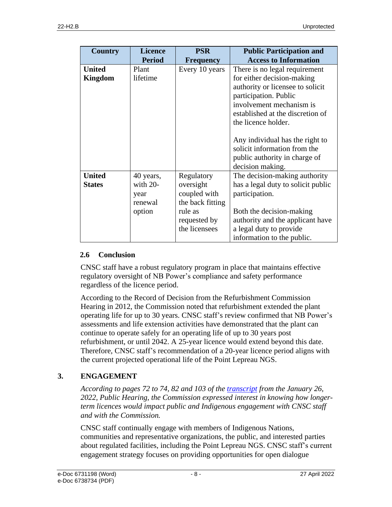| <b>Country</b> | <b>Licence</b> | <b>PSR</b>       | <b>Public Participation and</b>    |
|----------------|----------------|------------------|------------------------------------|
|                | <b>Period</b>  | <b>Frequency</b> | <b>Access to Information</b>       |
| <b>United</b>  | Plant          | Every 10 years   | There is no legal requirement      |
| <b>Kingdom</b> | lifetime       |                  | for either decision-making         |
|                |                |                  | authority or licensee to solicit   |
|                |                |                  | participation. Public              |
|                |                |                  | involvement mechanism is           |
|                |                |                  | established at the discretion of   |
|                |                |                  |                                    |
|                |                |                  | the licence holder.                |
|                |                |                  |                                    |
|                |                |                  | Any individual has the right to    |
|                |                |                  | solicit information from the       |
|                |                |                  | public authority in charge of      |
|                |                |                  | decision making.                   |
| <b>United</b>  | 40 years,      | Regulatory       | The decision-making authority      |
| <b>States</b>  | with $20-$     | oversight        | has a legal duty to solicit public |
|                | year           | coupled with     | participation.                     |
|                | renewal        | the back fitting |                                    |
|                | option         | rule as          | Both the decision-making           |
|                |                | requested by     | authority and the applicant have   |
|                |                | the licensees    |                                    |
|                |                |                  | a legal duty to provide            |
|                |                |                  | information to the public.         |

#### <span id="page-13-0"></span>**2.6 Conclusion**

CNSC staff have a robust regulatory program in place that maintains effective regulatory oversight of NB Power's compliance and safety performance regardless of the licence period.

According to the Record of Decision from the Refurbishment Commission Hearing in 2012, the Commission noted that refurbishment extended the plant operating life for up to 30 years. CNSC staff's review confirmed that NB Power's assessments and life extension activities have demonstrated that the plant can continue to operate safely for an operating life of up to 30 years post refurbishment, or until 2042. A 25-year licence would extend beyond this date. Therefore, CNSC staff's recommendation of a 20-year licence period aligns with the current projected operational life of the Point Lepreau NGS.

## <span id="page-13-1"></span>**3. ENGAGEMENT**

*According to pages 72 to 74, 82 and 103 of the [transcript](http://www.nuclearsafety.gc.ca/eng/the-commission/pdf/Transcript-Hearing-Jan26,2022-e.pdf) from the January 26, 2022, Public Hearing, the Commission expressed interest in knowing how longerterm licences would impact public and Indigenous engagement with CNSC staff and with the Commission.*

CNSC staff continually engage with members of Indigenous Nations, communities and representative organizations, the public, and interested parties about regulated facilities, including the Point Lepreau NGS. CNSC staff's current engagement strategy focuses on providing opportunities for open dialogue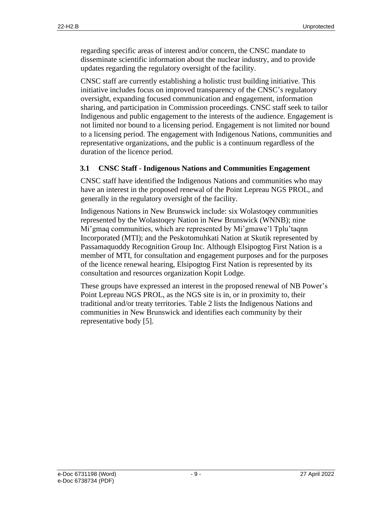regarding specific areas of interest and/or concern, the CNSC mandate to disseminate scientific information about the nuclear industry, and to provide updates regarding the regulatory oversight of the facility.

CNSC staff are currently establishing a holistic trust building initiative. This initiative includes focus on improved transparency of the CNSC's regulatory oversight, expanding focused communication and engagement, information sharing, and participation in Commission proceedings. CNSC staff seek to tailor Indigenous and public engagement to the interests of the audience. Engagement is not limited nor bound to a licensing period. Engagement is not limited nor bound to a licensing period. The engagement with Indigenous Nations, communities and representative organizations, and the public is a continuum regardless of the duration of the licence period.

## <span id="page-14-0"></span>**3.1 CNSC Staff - Indigenous Nations and Communities Engagement**

CNSC staff have identified the Indigenous Nations and communities who may have an interest in the proposed renewal of the Point Lepreau NGS PROL, and generally in the regulatory oversight of the facility.

Indigenous Nations in New Brunswick include: six Wolastoqey communities represented by the Wolastoqey Nation in New Brunswick (WNNB); nine Mi'gmaq communities, which are represented by Mi'gmawe'l Tplu'taqnn Incorporated (MTI); and the Peskotomuhkati Nation at Skutik represented by Passamaquoddy Recognition Group Inc. Although Elsipogtog First Nation is a member of MTI, for consultation and engagement purposes and for the purposes of the licence renewal hearing, Elsipogtog First Nation is represented by its consultation and resources organization Kopit Lodge.

These groups have expressed an interest in the proposed renewal of NB Power's Point Lepreau NGS PROL, as the NGS site is in, or in proximity to, their traditional and/or treaty territories. [Table 2](#page-15-0) lists the Indigenous Nations and communities in New Brunswick and identifies each community by their representative body [\[5\]](#page-55-4).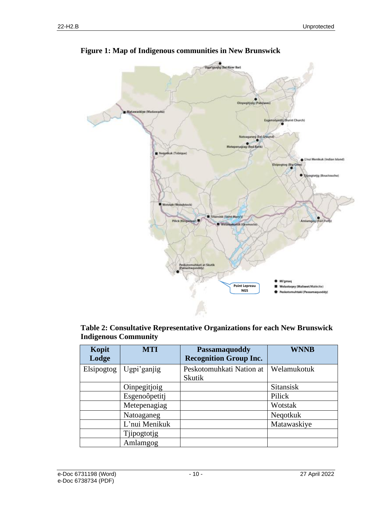

**Figure 1: Map of Indigenous communities in New Brunswick**

<span id="page-15-0"></span>

| Table 2: Consultative Representative Organizations for each New Brunswick |  |
|---------------------------------------------------------------------------|--|
| <b>Indigenous Community</b>                                               |  |

| Kopit<br>Lodge | <b>MTI</b>          | Passamaquoddy<br><b>Recognition Group Inc.</b> | <b>WNNB</b>      |
|----------------|---------------------|------------------------------------------------|------------------|
| Elsipogtog     | Ugpi'ganjig         | Peskotomuhkati Nation at<br><b>Skutik</b>      | Welamukotuk      |
|                | Oinpegitjoig        |                                                | <b>Sitansisk</b> |
|                | Esgenoôpetitj       |                                                | Pilick           |
|                | Metepenagiag        |                                                | Wotstak          |
|                | Natoaganeg          |                                                | Negotkuk         |
|                | L'nui Menikuk       |                                                | Matawaskiye      |
|                | <b>T</b> jipogtotjg |                                                |                  |
|                | Amlamgog            |                                                |                  |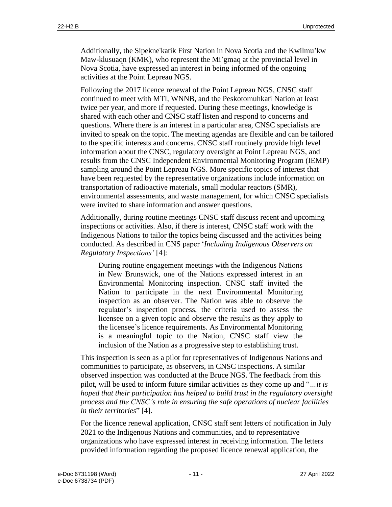Additionally, the Sipekne'katik First Nation in Nova Scotia and the Kwilmu'kw Maw-klusuaqn (KMK), who represent the Mi'gmaq at the provincial level in Nova Scotia, have expressed an interest in being informed of the ongoing activities at the Point Lepreau NGS.

Following the 2017 licence renewal of the Point Lepreau NGS, CNSC staff continued to meet with MTI, WNNB, and the Peskotomuhkati Nation at least twice per year, and more if requested. During these meetings, knowledge is shared with each other and CNSC staff listen and respond to concerns and questions. Where there is an interest in a particular area, CNSC specialists are invited to speak on the topic. The meeting agendas are flexible and can be tailored to the specific interests and concerns. CNSC staff routinely provide high level information about the CNSC, regulatory oversight at Point Lepreau NGS, and results from the CNSC Independent Environmental Monitoring Program (IEMP) sampling around the Point Lepreau NGS. More specific topics of interest that have been requested by the representative organizations include information on transportation of radioactive materials, small modular reactors (SMR), environmental assessments, and waste management, for which CNSC specialists were invited to share information and answer questions.

Additionally, during routine meetings CNSC staff discuss recent and upcoming inspections or activities. Also, if there is interest, CNSC staff work with the Indigenous Nations to tailor the topics being discussed and the activities being conducted. As described in CNS paper '*Including Indigenous Observers on Regulatory Inspections'* [\[4\]](#page-55-5):

During routine engagement meetings with the Indigenous Nations in New Brunswick, one of the Nations expressed interest in an Environmental Monitoring inspection. CNSC staff invited the Nation to participate in the next Environmental Monitoring inspection as an observer. The Nation was able to observe the regulator's inspection process, the criteria used to assess the licensee on a given topic and observe the results as they apply to the licensee's licence requirements. As Environmental Monitoring is a meaningful topic to the Nation, CNSC staff view the inclusion of the Nation as a progressive step to establishing trust.

This inspection is seen as a pilot for representatives of Indigenous Nations and communities to participate, as observers, in CNSC inspections. A similar observed inspection was conducted at the Bruce NGS. The feedback from this pilot, will be used to inform future similar activities as they come up and "*…it is hoped that their participation has helped to build trust in the regulatory oversight process and the CNSC's role in ensuring the safe operations of nuclear facilities in their territories*" [\[4\]](#page-55-5).

For the licence renewal application, CNSC staff sent letters of notification in July 2021 to the Indigenous Nations and communities, and to representative organizations who have expressed interest in receiving information. The letters provided information regarding the proposed licence renewal application, the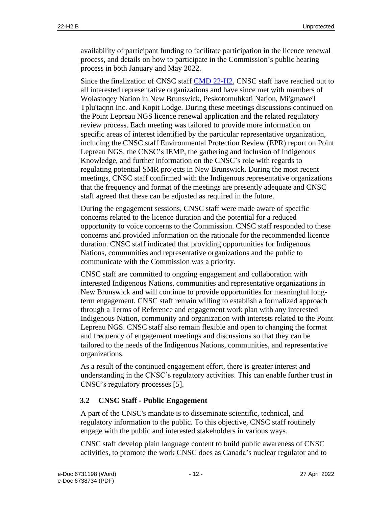availability of participant funding to facilitate participation in the licence renewal process, and details on how to participate in the Commission's public hearing process in both January and May 2022.

Since the finalization of CNSC staff [CMD 22-H2,](https://www.nuclearsafety.gc.ca/eng/the-commission/hearings/cmd/pdf/CMD22/CMD22-H2.pdf) CNSC staff have reached out to all interested representative organizations and have since met with members of Wolastoqey Nation in New Brunswick, Peskotomuhkati Nation, Mi'gmawe'l Tplu'taqnn Inc. and Kopit Lodge. During these meetings discussions continued on the Point Lepreau NGS licence renewal application and the related regulatory review process. Each meeting was tailored to provide more information on specific areas of interest identified by the particular representative organization, including the CNSC staff Environmental Protection Review (EPR) report on Point Lepreau NGS, the CNSC's IEMP, the gathering and inclusion of Indigenous Knowledge, and further information on the CNSC's role with regards to regulating potential SMR projects in New Brunswick. During the most recent meetings, CNSC staff confirmed with the Indigenous representative organizations that the frequency and format of the meetings are presently adequate and CNSC staff agreed that these can be adjusted as required in the future.

During the engagement sessions, CNSC staff were made aware of specific concerns related to the licence duration and the potential for a reduced opportunity to voice concerns to the Commission. CNSC staff responded to these concerns and provided information on the rationale for the recommended licence duration. CNSC staff indicated that providing opportunities for Indigenous Nations, communities and representative organizations and the public to communicate with the Commission was a priority.

CNSC staff are committed to ongoing engagement and collaboration with interested Indigenous Nations, communities and representative organizations in New Brunswick and will continue to provide opportunities for meaningful longterm engagement. CNSC staff remain willing to establish a formalized approach through a Terms of Reference and engagement work plan with any interested Indigenous Nation, community and organization with interests related to the Point Lepreau NGS. CNSC staff also remain flexible and open to changing the format and frequency of engagement meetings and discussions so that they can be tailored to the needs of the Indigenous Nations, communities, and representative organizations.

As a result of the continued engagement effort, there is greater interest and understanding in the CNSC's regulatory activities. This can enable further trust in CNSC's regulatory processes [\[5\]](#page-55-4).

## <span id="page-17-0"></span>**3.2 CNSC Staff - Public Engagement**

A part of the CNSC's mandate is to disseminate scientific, technical, and regulatory information to the public. To this objective, CNSC staff routinely engage with the public and interested stakeholders in various ways.

CNSC staff develop plain language content to build public awareness of CNSC activities, to promote the work CNSC does as Canada's nuclear regulator and to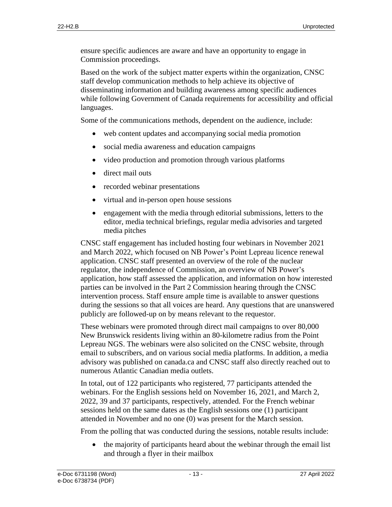ensure specific audiences are aware and have an opportunity to engage in Commission proceedings.

Based on the work of the subject matter experts within the organization, CNSC staff develop communication methods to help achieve its objective of disseminating information and building awareness among specific audiences while following Government of Canada requirements for accessibility and official languages.

Some of the communications methods, dependent on the audience, include:

- web content updates and accompanying social media promotion
- social media awareness and education campaigns
- video production and promotion through various platforms
- direct mail outs
- recorded webinar presentations
- virtual and in-person open house sessions
- engagement with the media through editorial submissions, letters to the editor, media technical briefings, regular media advisories and targeted media pitches

CNSC staff engagement has included hosting four webinars in November 2021 and March 2022, which focused on NB Power's Point Lepreau licence renewal application. CNSC staff presented an overview of the role of the nuclear regulator, the independence of Commission, an overview of NB Power's application, how staff assessed the application, and information on how interested parties can be involved in the Part 2 Commission hearing through the CNSC intervention process. Staff ensure ample time is available to answer questions during the sessions so that all voices are heard. Any questions that are unanswered publicly are followed-up on by means relevant to the requestor.

These webinars were promoted through direct mail campaigns to over 80,000 New Brunswick residents living within an 80-kilometre radius from the Point Lepreau NGS. The webinars were also solicited on the CNSC website, through email to subscribers, and on various social media platforms. In addition, a media advisory was published on canada.ca and CNSC staff also directly reached out to numerous Atlantic Canadian media outlets.

In total, out of 122 participants who registered, 77 participants attended the webinars. For the English sessions held on November 16, 2021, and March 2, 2022, 39 and 37 participants, respectively, attended. For the French webinar sessions held on the same dates as the English sessions one (1) participant attended in November and no one (0) was present for the March session.

From the polling that was conducted during the sessions, notable results include:

• the majority of participants heard about the webinar through the email list and through a flyer in their mailbox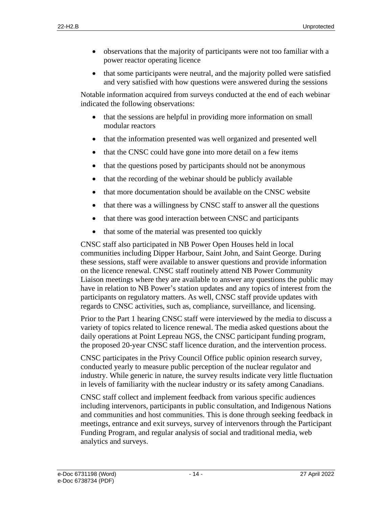- observations that the majority of participants were not too familiar with a power reactor operating licence
- that some participants were neutral, and the majority polled were satisfied and very satisfied with how questions were answered during the sessions

Notable information acquired from surveys conducted at the end of each webinar indicated the following observations:

- that the sessions are helpful in providing more information on small modular reactors
- that the information presented was well organized and presented well
- that the CNSC could have gone into more detail on a few items
- that the questions posed by participants should not be anonymous
- that the recording of the webinar should be publicly available
- that more documentation should be available on the CNSC website
- that there was a willingness by CNSC staff to answer all the questions
- that there was good interaction between CNSC and participants
- that some of the material was presented too quickly

CNSC staff also participated in NB Power Open Houses held in local communities including Dipper Harbour, Saint John, and Saint George. During these sessions, staff were available to answer questions and provide information on the licence renewal. CNSC staff routinely attend NB Power Community Liaison meetings where they are available to answer any questions the public may have in relation to NB Power's station updates and any topics of interest from the participants on regulatory matters. As well, CNSC staff provide updates with regards to CNSC activities, such as, compliance, surveillance, and licensing.

Prior to the Part 1 hearing CNSC staff were interviewed by the media to discuss a variety of topics related to licence renewal. The media asked questions about the daily operations at Point Lepreau NGS, the CNSC participant funding program, the proposed 20-year CNSC staff licence duration, and the intervention process.

CNSC participates in the Privy Council Office public opinion research survey, conducted yearly to measure public perception of the nuclear regulator and industry. While generic in nature, the survey results indicate very little fluctuation in levels of familiarity with the nuclear industry or its safety among Canadians.

CNSC staff collect and implement feedback from various specific audiences including intervenors, participants in public consultation, and Indigenous Nations and communities and host communities. This is done through seeking feedback in meetings, entrance and exit surveys, survey of intervenors through the Participant Funding Program, and regular analysis of social and traditional media, web analytics and surveys.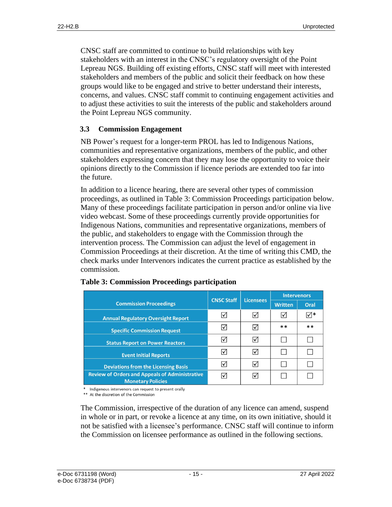CNSC staff are committed to continue to build relationships with key stakeholders with an interest in the CNSC's regulatory oversight of the Point Lepreau NGS. Building off existing efforts, CNSC staff will meet with interested stakeholders and members of the public and solicit their feedback on how these groups would like to be engaged and strive to better understand their interests, concerns, and values. CNSC staff commit to continuing engagement activities and to adjust these activities to suit the interests of the public and stakeholders around the Point Lepreau NGS community.

## <span id="page-20-0"></span>**3.3 Commission Engagement**

NB Power's request for a longer-term PROL has led to Indigenous Nations, communities and representative organizations, members of the public, and other stakeholders expressing concern that they may lose the opportunity to voice their opinions directly to the Commission if licence periods are extended too far into the future.

In addition to a licence hearing, there are several other types of commission proceedings, as outlined in Table [3: Commission Proceedings](#page-20-1) participation below. Many of these proceedings facilitate participation in person and/or online via live video webcast. Some of these proceedings currently provide opportunities for Indigenous Nations, communities and representative organizations, members of the public, and stakeholders to engage with the Commission through the intervention process. The Commission can adjust the level of engagement in Commission Proceedings at their discretion. At the time of writing this CMD, the check marks under Intervenors indicates the current practice as established by the commission.

|                                                                                   | <b>CNSC Staff</b>    | <b>Licensees</b>     | <b>Intervenors</b>   |      |
|-----------------------------------------------------------------------------------|----------------------|----------------------|----------------------|------|
| <b>Commission Proceedings</b>                                                     |                      |                      | <b>Written</b>       | Oral |
| <b>Annual Regulatory Oversight Report</b>                                         | $\sqrt{}$            | Ⅳ                    | $\blacktriangledown$ | √*   |
| <b>Specific Commission Request</b>                                                | ☑                    | $\blacktriangledown$ | $**$                 | $**$ |
| <b>Status Report on Power Reactors</b>                                            | ☑                    | ∨                    |                      |      |
| <b>Event Initial Reports</b>                                                      | ☑                    | ☑                    |                      |      |
| <b>Deviations from the Licensing Basis</b>                                        | ☑                    | ☑                    |                      |      |
| <b>Review of Orders and Appeals of Administrative</b><br><b>Monetary Policies</b> | $\blacktriangledown$ | ∨                    |                      |      |

#### <span id="page-20-1"></span>**Table 3: Commission Proceedings participation**

Indigenous intervenors can request to present orally

\*\* At the discretion of the Commission

The Commission, irrespective of the duration of any licence can amend, suspend in whole or in part, or revoke a licence at any time, on its own initiative, should it not be satisfied with a licensee's performance. CNSC staff will continue to inform the Commission on licensee performance as outlined in the following sections.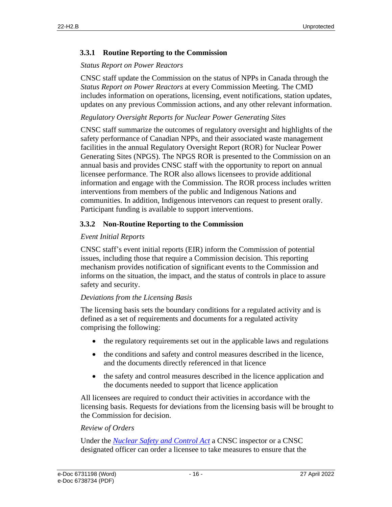## **3.3.1 Routine Reporting to the Commission**

## *Status Report on Power Reactors*

CNSC staff update the Commission on the status of NPPs in Canada through the *Status Report on Power Reactors* at every Commission Meeting. The CMD includes information on operations, licensing, event notifications, station updates, updates on any previous Commission actions, and any other relevant information.

## *Regulatory Oversight Reports for Nuclear Power Generating Sites*

CNSC staff summarize the outcomes of regulatory oversight and highlights of the safety performance of Canadian NPPs, and their associated waste management facilities in the annual Regulatory Oversight Report (ROR) for Nuclear Power Generating Sites (NPGS). The NPGS ROR is presented to the Commission on an annual basis and provides CNSC staff with the opportunity to report on annual licensee performance. The ROR also allows licensees to provide additional information and engage with the Commission. The ROR process includes written interventions from members of the public and Indigenous Nations and communities. In addition, Indigenous intervenors can request to present orally. Participant funding is available to support interventions.

## **3.3.2 Non-Routine Reporting to the Commission**

## *Event Initial Reports*

CNSC staff's event initial reports (EIR) inform the Commission of potential issues, including those that require a Commission decision. This reporting mechanism provides notification of significant events to the Commission and informs on the situation, the impact, and the status of controls in place to assure safety and security.

## *Deviations from the Licensing Basis*

The licensing basis sets the boundary conditions for a regulated activity and is defined as a set of requirements and documents for a regulated activity comprising the following:

- the regulatory requirements set out in the applicable laws and regulations
- the conditions and safety and control measures described in the licence, and the documents directly referenced in that licence
- the safety and control measures described in the licence application and the documents needed to support that licence application

All licensees are required to conduct their activities in accordance with the licensing basis. Requests for deviations from the licensing basis will be brought to the Commission for decision.

## *Review of Orders*

Under the *[Nuclear Safety and](https://laws-lois.justice.gc.ca/eng/acts/n-28.3/) Control Act* a CNSC inspector or a CNSC designated officer can order a licensee to take measures to ensure that the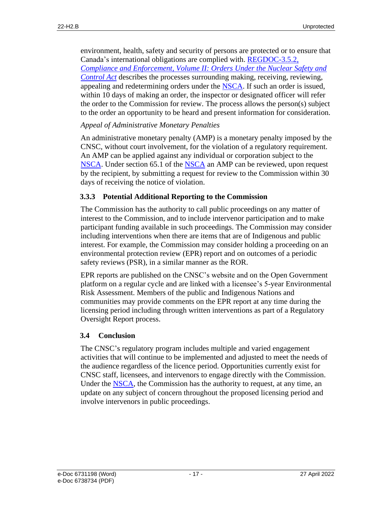environment, health, safety and security of persons are protected or to ensure that Canada's international obligations are complied with. [REGDOC-3.5.2,](http://nuclearsafety.gc.ca/eng/acts-and-regulations/regulatory-documents/published/html/regdoc3-5-2-vol2/index.cfm) *Compliance and Enforcement, Volume II: [Orders Under the Nuclear Safety](http://nuclearsafety.gc.ca/eng/acts-and-regulations/regulatory-documents/published/html/regdoc3-5-2-vol2/index.cfm) and [Control Act](http://nuclearsafety.gc.ca/eng/acts-and-regulations/regulatory-documents/published/html/regdoc3-5-2-vol2/index.cfm)* describes the processes surrounding making, receiving, reviewing, appealing and redetermining orders under the [NSCA.](https://laws-lois.justice.gc.ca/eng/acts/n-28.3/) If such an order is issued, within 10 days of making an order, the inspector or designated officer will refer the order to the Commission for review. The process allows the person(s) subject to the order an opportunity to be heard and present information for consideration.

## *Appeal of Administrative Monetary Penalties*

An administrative monetary penalty (AMP) is a monetary penalty imposed by the CNSC, without court involvement, for the violation of a regulatory requirement. An AMP can be applied against any individual or corporation subject to the [NSCA.](https://laws-lois.justice.gc.ca/eng/acts/n-28.3/) Under section 65.1 of the [NSCA](https://laws-lois.justice.gc.ca/eng/acts/n-28.3/) an AMP can be reviewed, upon request by the recipient, by submitting a request for review to the Commission within 30 days of receiving the notice of violation.

## **3.3.3 Potential Additional Reporting to the Commission**

The Commission has the authority to call public proceedings on any matter of interest to the Commission, and to include intervenor participation and to make participant funding available in such proceedings. The Commission may consider including interventions when there are items that are of Indigenous and public interest. For example, the Commission may consider holding a proceeding on an environmental protection review (EPR) report and on outcomes of a periodic safety reviews (PSR), in a similar manner as the ROR.

EPR reports are published on the CNSC's website and on the Open Government platform on a regular cycle and are linked with a licensee's 5-year Environmental Risk Assessment. Members of the public and Indigenous Nations and communities may provide comments on the EPR report at any time during the licensing period including through written interventions as part of a Regulatory Oversight Report process.

## <span id="page-22-0"></span>**3.4 Conclusion**

The CNSC's regulatory program includes multiple and varied engagement activities that will continue to be implemented and adjusted to meet the needs of the audience regardless of the licence period. Opportunities currently exist for CNSC staff, licensees, and intervenors to engage directly with the Commission. Under the [NSCA,](https://laws-lois.justice.gc.ca/eng/acts/n-28.3/) the Commission has the authority to request, at any time, an update on any subject of concern throughout the proposed licensing period and involve intervenors in public proceedings.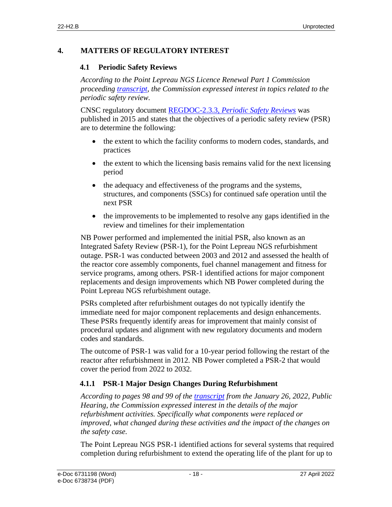## <span id="page-23-1"></span><span id="page-23-0"></span>**4. MATTERS OF REGULATORY INTEREST**

## **4.1 Periodic Safety Reviews**

*According to the Point Lepreau NGS Licence Renewal Part 1 Commission proceeding [transcript,](http://www.nuclearsafety.gc.ca/eng/the-commission/pdf/Transcript-Hearing-Jan26,2022-e.pdf) the Commission expressed interest in topics related to the periodic safety review.*

CNSC regulatory document [REGDOC-2.3.3,](http://nuclearsafety.gc.ca/eng/acts-and-regulations/regulatory-documents/published/html/regdoc2-3-3/index.cfm) *Periodic Safety Reviews* was published in 2015 and states that the objectives of a periodic safety review (PSR) are to determine the following:

- the extent to which the facility conforms to modern codes, standards, and practices
- the extent to which the licensing basis remains valid for the next licensing period
- the adequacy and effectiveness of the programs and the systems, structures, and components (SSCs) for continued safe operation until the next PSR
- the improvements to be implemented to resolve any gaps identified in the review and timelines for their implementation

NB Power performed and implemented the initial PSR, also known as an Integrated Safety Review (PSR-1), for the Point Lepreau NGS refurbishment outage. PSR-1 was conducted between 2003 and 2012 and assessed the health of the reactor core assembly components, fuel channel management and fitness for service programs, among others. PSR-1 identified actions for major component replacements and design improvements which NB Power completed during the Point Lepreau NGS refurbishment outage.

PSRs completed after refurbishment outages do not typically identify the immediate need for major component replacements and design enhancements. These PSRs frequently identify areas for improvement that mainly consist of procedural updates and alignment with new regulatory documents and modern codes and standards.

The outcome of PSR-1 was valid for a 10-year period following the restart of the reactor after refurbishment in 2012. NB Power completed a PSR-2 that would cover the period from 2022 to 2032.

## **4.1.1 PSR-1 Major Design Changes During Refurbishment**

*According to pages 98 and 99 of the [transcript](http://www.nuclearsafety.gc.ca/eng/the-commission/pdf/Transcript-Hearing-Jan26,2022-e.pdf) from the January 26, 2022, Public Hearing, the Commission expressed interest in the details of the major refurbishment activities. Specifically what components were replaced or improved, what changed during these activities and the impact of the changes on the safety case.*

The Point Lepreau NGS PSR-1 identified actions for several systems that required completion during refurbishment to extend the operating life of the plant for up to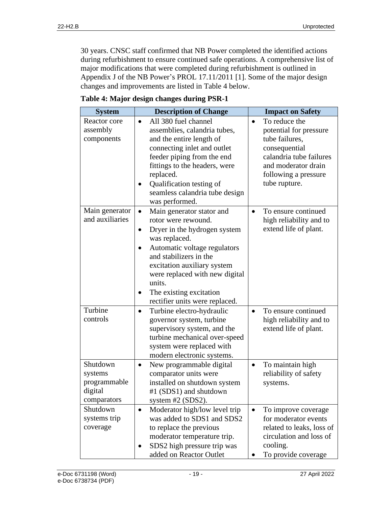30 years. CNSC staff confirmed that NB Power completed the identified actions during refurbishment to ensure continued safe operations. A comprehensive list of major modifications that were completed during refurbishment is outlined in Appendix J of the NB Power's PROL 17.11/2011 [\[1\]](#page-55-1). Some of the major design changes and improvements are listed in [Table 4](#page-24-0) below.

| <b>System</b>                                                 | <b>Description of Change</b>                                                                                                                                                                                                                                                                                                               | <b>Impact on Safety</b>                                                                                                                                                            |
|---------------------------------------------------------------|--------------------------------------------------------------------------------------------------------------------------------------------------------------------------------------------------------------------------------------------------------------------------------------------------------------------------------------------|------------------------------------------------------------------------------------------------------------------------------------------------------------------------------------|
| Reactor core<br>assembly<br>components                        | All 380 fuel channel<br>$\bullet$<br>assemblies, calandria tubes,<br>and the entire length of<br>connecting inlet and outlet<br>feeder piping from the end<br>fittings to the headers, were<br>replaced.<br>Qualification testing of<br>seamless calandria tube design<br>was performed.                                                   | To reduce the<br>$\bullet$<br>potential for pressure<br>tube failures,<br>consequential<br>calandria tube failures<br>and moderator drain<br>following a pressure<br>tube rupture. |
| Main generator<br>and auxiliaries                             | Main generator stator and<br>$\bullet$<br>rotor were rewound.<br>Dryer in the hydrogen system<br>$\bullet$<br>was replaced.<br>Automatic voltage regulators<br>and stabilizers in the<br>excitation auxiliary system<br>were replaced with new digital<br>units.<br>The existing excitation<br>$\bullet$<br>rectifier units were replaced. | To ensure continued<br>$\bullet$<br>high reliability and to<br>extend life of plant.                                                                                               |
| Turbine<br>controls                                           | Turbine electro-hydraulic<br>governor system, turbine<br>supervisory system, and the<br>turbine mechanical over-speed<br>system were replaced with<br>modern electronic systems.                                                                                                                                                           | To ensure continued<br>high reliability and to<br>extend life of plant.                                                                                                            |
| Shutdown<br>systems<br>programmable<br>digital<br>comparators | New programmable digital<br>$\bullet$<br>comparator units were<br>installed on shutdown system<br>#1 (SDS1) and shutdown<br>system #2 (SDS2).                                                                                                                                                                                              | To maintain high<br>$\bullet$<br>reliability of safety<br>systems.                                                                                                                 |
| Shutdown<br>systems trip<br>coverage                          | Moderator high/low level trip<br>$\bullet$<br>was added to SDS1 and SDS2<br>to replace the previous<br>moderator temperature trip.<br>SDS2 high pressure trip was<br>added on Reactor Outlet                                                                                                                                               | To improve coverage<br>$\bullet$<br>for moderator events<br>related to leaks, loss of<br>circulation and loss of<br>cooling.<br>To provide coverage                                |

<span id="page-24-0"></span>**Table 4: Major design changes during PSR-1**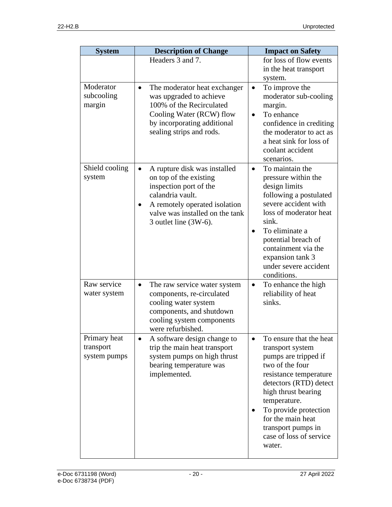| <b>System</b>                             | <b>Description of Change</b>                                                                                                                                                                                      | <b>Impact on Safety</b>                                                                                                                                                                                                                                                                                 |
|-------------------------------------------|-------------------------------------------------------------------------------------------------------------------------------------------------------------------------------------------------------------------|---------------------------------------------------------------------------------------------------------------------------------------------------------------------------------------------------------------------------------------------------------------------------------------------------------|
|                                           | Headers 3 and 7.                                                                                                                                                                                                  | for loss of flow events<br>in the heat transport<br>system.                                                                                                                                                                                                                                             |
| Moderator<br>subcooling<br>margin         | The moderator heat exchanger<br>$\bullet$<br>was upgraded to achieve<br>100% of the Recirculated<br>Cooling Water (RCW) flow<br>by incorporating additional<br>sealing strips and rods.                           | To improve the<br>$\bullet$<br>moderator sub-cooling<br>margin.<br>To enhance<br>confidence in crediting<br>the moderator to act as<br>a heat sink for loss of<br>coolant accident<br>scenarios.                                                                                                        |
| Shield cooling<br>system                  | A rupture disk was installed<br>on top of the existing<br>inspection port of the<br>calandria vault.<br>A remotely operated isolation<br>$\bullet$<br>valve was installed on the tank<br>3 outlet line $(3W-6)$ . | To maintain the<br>$\bullet$<br>pressure within the<br>design limits<br>following a postulated<br>severe accident with<br>loss of moderator heat<br>sink.<br>To eliminate a<br>potential breach of<br>containment via the<br>expansion tank 3<br>under severe accident<br>conditions.                   |
| Raw service<br>water system               | The raw service water system<br>$\bullet$<br>components, re-circulated<br>cooling water system<br>components, and shutdown<br>cooling system components<br>were refurbished.                                      | To enhance the high<br>$\bullet$<br>reliability of heat<br>sinks.                                                                                                                                                                                                                                       |
| Primary heat<br>transport<br>system pumps | A software design change to<br>$\bullet$<br>trip the main heat transport<br>system pumps on high thrust<br>bearing temperature was<br>implemented.                                                                | To ensure that the heat<br>$\bullet$<br>transport system<br>pumps are tripped if<br>two of the four<br>resistance temperature<br>detectors (RTD) detect<br>high thrust bearing<br>temperature.<br>To provide protection<br>for the main heat<br>transport pumps in<br>case of loss of service<br>water. |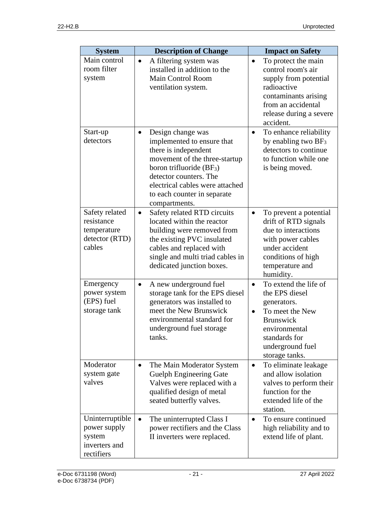| <b>System</b>                                                            | <b>Description of Change</b>                                                                                                                                                                                                                                     | <b>Impact on Safety</b>                                                                                                                                                                         |
|--------------------------------------------------------------------------|------------------------------------------------------------------------------------------------------------------------------------------------------------------------------------------------------------------------------------------------------------------|-------------------------------------------------------------------------------------------------------------------------------------------------------------------------------------------------|
| Main control<br>room filter<br>system                                    | A filtering system was<br>$\bullet$<br>installed in addition to the<br><b>Main Control Room</b><br>ventilation system.                                                                                                                                           | To protect the main<br>$\bullet$<br>control room's air<br>supply from potential<br>radioactive<br>contaminants arising<br>from an accidental<br>release during a severe<br>accident.            |
| Start-up<br>detectors                                                    | Design change was<br>$\bullet$<br>implemented to ensure that<br>there is independent<br>movement of the three-startup<br>boron trifluoride $(BF_3)$<br>detector counters. The<br>electrical cables were attached<br>to each counter in separate<br>compartments. | To enhance reliability<br>$\bullet$<br>by enabling two $BF_3$<br>detectors to continue<br>to function while one<br>is being moved.                                                              |
| Safety related<br>resistance<br>temperature<br>detector (RTD)<br>cables  | Safety related RTD circuits<br>$\bullet$<br>located within the reactor<br>building were removed from<br>the existing PVC insulated<br>cables and replaced with<br>single and multi triad cables in<br>dedicated junction boxes.                                  | To prevent a potential<br>$\bullet$<br>drift of RTD signals<br>due to interactions<br>with power cables<br>under accident<br>conditions of high<br>temperature and<br>humidity.                 |
| Emergency<br>power system<br>(EPS) fuel<br>storage tank                  | A new underground fuel<br>$\bullet$<br>storage tank for the EPS diesel<br>generators was installed to<br>meet the New Brunswick<br>environmental standard for<br>underground fuel storage<br>tanks.                                                              | To extend the life of<br>$\bullet$<br>the EPS diesel<br>generators.<br>To meet the New<br>$\bullet$<br><b>Brunswick</b><br>environmental<br>standards for<br>underground fuel<br>storage tanks. |
| Moderator<br>system gate<br>valves                                       | The Main Moderator System<br>$\bullet$<br><b>Guelph Engineering Gate</b><br>Valves were replaced with a<br>qualified design of metal<br>seated butterfly valves.                                                                                                 | To eliminate leakage<br>$\bullet$<br>and allow isolation<br>valves to perform their<br>function for the<br>extended life of the<br>station.                                                     |
| Uninterruptible<br>power supply<br>system<br>inverters and<br>rectifiers | The uninterrupted Class I<br>$\bullet$<br>power rectifiers and the Class<br>II inverters were replaced.                                                                                                                                                          | To ensure continued<br>$\bullet$<br>high reliability and to<br>extend life of plant.                                                                                                            |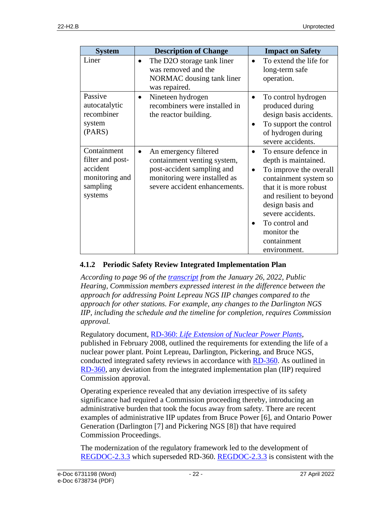| <b>System</b>                                                                        | <b>Description of Change</b>                                                                                                                        | <b>Impact on Safety</b>                                                                                                                                                                                                                                            |
|--------------------------------------------------------------------------------------|-----------------------------------------------------------------------------------------------------------------------------------------------------|--------------------------------------------------------------------------------------------------------------------------------------------------------------------------------------------------------------------------------------------------------------------|
| Liner                                                                                | The D2O storage tank liner<br>$\bullet$<br>was removed and the<br>NORMAC dousing tank liner<br>was repaired.                                        | To extend the life for<br>$\bullet$<br>long-term safe<br>operation.                                                                                                                                                                                                |
| Passive<br>autocatalytic<br>recombiner<br>system<br>(PARS)                           | Nineteen hydrogen<br>$\bullet$<br>recombiners were installed in<br>the reactor building.                                                            | To control hydrogen<br>$\bullet$<br>produced during<br>design basis accidents.<br>To support the control<br>of hydrogen during<br>severe accidents.                                                                                                                |
| Containment<br>filter and post-<br>accident<br>monitoring and<br>sampling<br>systems | An emergency filtered<br>containment venting system,<br>post-accident sampling and<br>monitoring were installed as<br>severe accident enhancements. | To ensure defence in<br>depth is maintained.<br>To improve the overall<br>٠<br>containment system so<br>that it is more robust<br>and resilient to beyond<br>design basis and<br>severe accidents.<br>To control and<br>monitor the<br>containment<br>environment. |

## **4.1.2 Periodic Safety Review Integrated Implementation Plan**

*According to page 96 of the [transcript](http://www.nuclearsafety.gc.ca/eng/the-commission/pdf/Transcript-Hearing-Jan26,2022-e.pdf) from the January 26, 2022, Public Hearing, Commission members expressed interest in the difference between the approach for addressing Point Lepreau NGS IIP changes compared to the approach for other stations. For example, any changes to the Darlington NGS IIP, including the schedule and the timeline for completion, requires Commission approval.*

Regulatory document, RD-360: *[Life Extension of Nuclear Power Plants](http://www.nuclearsafety.gc.ca/eng/acts-and-regulations/regulatory-documents/published/html/rd360/)*, published in February 2008, outlined the requirements for extending the life of a nuclear power plant. Point Lepreau, Darlington, Pickering, and Bruce NGS, conducted integrated safety reviews in accordance with [RD-360.](http://www.nuclearsafety.gc.ca/eng/acts-and-regulations/regulatory-documents/published/html/rd360/) As outlined in [RD-360,](http://www.nuclearsafety.gc.ca/eng/acts-and-regulations/regulatory-documents/published/html/rd360/) any deviation from the integrated implementation plan (IIP) required Commission approval.

Operating experience revealed that any deviation irrespective of its safety significance had required a Commission proceeding thereby, introducing an administrative burden that took the focus away from safety. There are recent examples of administrative IIP updates from Bruce Power [\[6\]](#page-55-6), and Ontario Power Generation (Darlington [\[7\]](#page-55-7) and Pickering NGS [\[8\]](#page-55-8)) that have required Commission Proceedings.

The modernization of the regulatory framework led to the development of [REGDOC-2.3.3](http://nuclearsafety.gc.ca/eng/acts-and-regulations/regulatory-documents/published/html/regdoc2-3-3/index.cfm) which superseded RD-360. [REGDOC-2.3.3](http://nuclearsafety.gc.ca/eng/acts-and-regulations/regulatory-documents/published/html/regdoc2-3-3/index.cfm) is consistent with the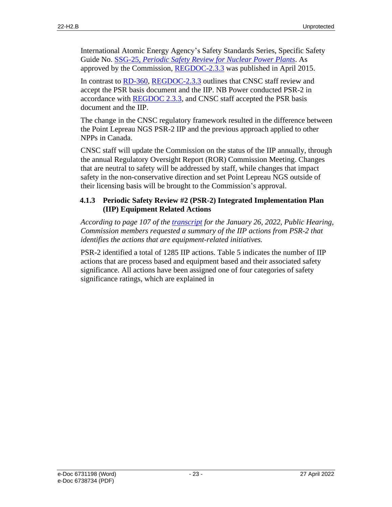International Atomic Energy Agency's Safety Standards Series, Specific Safety Guide No. SSG-25, *[Periodic Safety Review for Nuclear Power Plants](https://www-pub.iaea.org/MTCD/Publications/PDF/Pub1588_web.pdf)*. As approved by the Commission, [REGDOC-2.3.3](http://nuclearsafety.gc.ca/eng/acts-and-regulations/regulatory-documents/published/html/regdoc2-3-3/index.cfm) was published in April 2015.

In contrast to [RD-360,](http://www.nuclearsafety.gc.ca/eng/acts-and-regulations/regulatory-documents/published/html/rd360/) [REGDOC-2.3.3](http://nuclearsafety.gc.ca/eng/acts-and-regulations/regulatory-documents/published/html/regdoc2-3-3/index.cfm) outlines that CNSC staff review and accept the PSR basis document and the IIP. NB Power conducted PSR-2 in accordance with [REGDOC](http://nuclearsafety.gc.ca/eng/acts-and-regulations/regulatory-documents/published/html/regdoc2-3-3/index.cfm) 2.3.3, and CNSC staff accepted the PSR basis document and the IIP.

The change in the CNSC regulatory framework resulted in the difference between the Point Lepreau NGS PSR-2 IIP and the previous approach applied to other NPPs in Canada.

CNSC staff will update the Commission on the status of the IIP annually, through the annual Regulatory Oversight Report (ROR) Commission Meeting. Changes that are neutral to safety will be addressed by staff, while changes that impact safety in the non-conservative direction and set Point Lepreau NGS outside of their licensing basis will be brought to the Commission's approval.

## **4.1.3 Periodic Safety Review #2 (PSR-2) Integrated Implementation Plan (IIP) Equipment Related Actions**

*According to page 107 of the [transcript](http://www.nuclearsafety.gc.ca/eng/the-commission/pdf/Transcript-Hearing-Jan26,2022-e.pdf) for the January 26, 2022, Public Hearing, Commission members requested a summary of the IIP actions from PSR-2 that identifies the actions that are equipment-related initiatives.*

PSR-2 identified a total of 1285 IIP actions. [Table](#page-29-0) 5 indicates the number of IIP actions that are process based and equipment based and their associated safety significance. All actions have been assigned one of four categories of safety significance ratings, which are explained in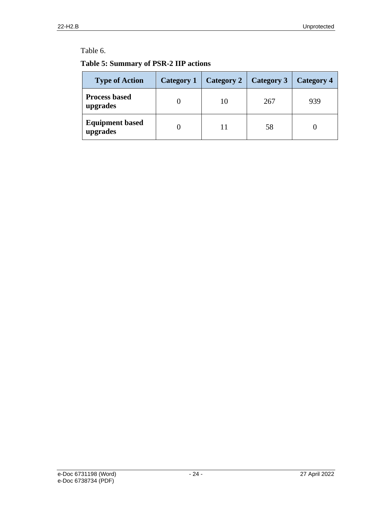## [Table 6.](#page-29-1)

## <span id="page-29-0"></span>**Table 5: Summary of PSR-2 IIP actions**

<span id="page-29-1"></span>

| <b>Type of Action</b>              | Category 1   Category 2 | <b>Category 3</b> | <b>Category 4</b> |  |
|------------------------------------|-------------------------|-------------------|-------------------|--|
| <b>Process based</b><br>upgrades   |                         | 267               | 939               |  |
| <b>Equipment based</b><br>upgrades |                         | 58                |                   |  |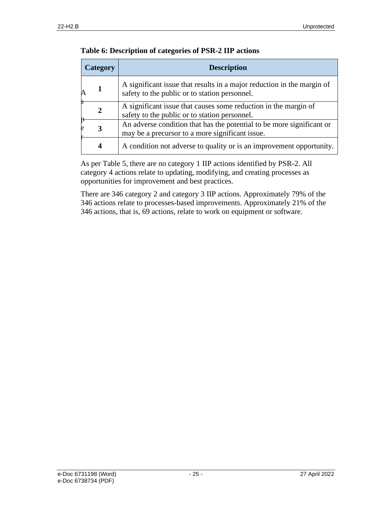| <b>Category</b> | <b>Description</b>                                                                                                       |
|-----------------|--------------------------------------------------------------------------------------------------------------------------|
|                 | A significant issue that results in a major reduction in the margin of<br>safety to the public or to station personnel.  |
| 2               | A significant issue that causes some reduction in the margin of<br>safety to the public or to station personnel.         |
|                 | An adverse condition that has the potential to be more significant or<br>may be a precursor to a more significant issue. |
|                 | A condition not adverse to quality or is an improvement opportunity.                                                     |

| Table 6: Description of categories of PSR-2 IIP actions |  |  |
|---------------------------------------------------------|--|--|
|                                                         |  |  |

As per [Table](#page-29-0) 5, there are no category 1 IIP actions identified by PSR-2. All category 4 actions relate to updating, modifying, and creating processes as opportunities for improvement and best practices.

There are 346 category 2 and category 3 IIP actions. Approximately 79% of the 346 actions relate to processes-based improvements. Approximately 21% of the 346 actions, that is, 69 actions, relate to work on equipment or software.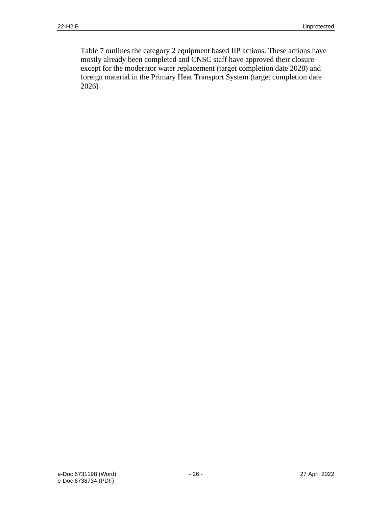<span id="page-31-0"></span>[Table 7](#page-31-0) outlines the category 2 equipment based IIP actions. These actions have mostly already been completed and CNSC staff have approved their closure except for the moderator water replacement (target completion date 2028) and foreign material in the Primary Heat Transport System (target completion date 2026)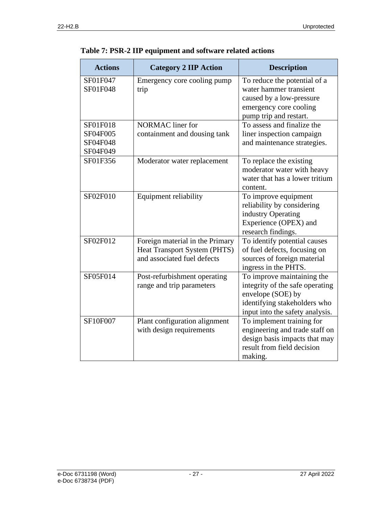| <b>Actions</b>              | <b>Category 2 IIP Action</b>        | <b>Description</b>                                     |
|-----------------------------|-------------------------------------|--------------------------------------------------------|
| SF01F047<br><b>SF01F048</b> | Emergency core cooling pump<br>trip | To reduce the potential of a<br>water hammer transient |
|                             |                                     | caused by a low-pressure<br>emergency core cooling     |
|                             |                                     | pump trip and restart.                                 |
| <b>SF01F018</b>             | NORMAC liner for                    | To assess and finalize the                             |
| SF04F005                    | containment and dousing tank        | liner inspection campaign                              |
| SF04F048                    |                                     | and maintenance strategies.                            |
| SF04F049                    |                                     |                                                        |
| SF01F356                    | Moderator water replacement         | To replace the existing                                |
|                             |                                     | moderator water with heavy                             |
|                             |                                     | water that has a lower tritium                         |
|                             |                                     | content.                                               |
| SF02F010                    | Equipment reliability               | To improve equipment                                   |
|                             |                                     | reliability by considering                             |
|                             |                                     | industry Operating                                     |
|                             |                                     | Experience (OPEX) and                                  |
|                             |                                     | research findings.                                     |
| SF02F012                    | Foreign material in the Primary     | To identify potential causes                           |
|                             | <b>Heat Transport System (PHTS)</b> | of fuel defects, focusing on                           |
|                             | and associated fuel defects         | sources of foreign material                            |
|                             |                                     | ingress in the PHTS.                                   |
| SF05F014                    | Post-refurbishment operating        | To improve maintaining the                             |
|                             | range and trip parameters           | integrity of the safe operating                        |
|                             |                                     | envelope (SOE) by                                      |
|                             |                                     | identifying stakeholders who                           |
|                             |                                     | input into the safety analysis.                        |
| SF10F007                    | Plant configuration alignment       | To implement training for                              |
|                             | with design requirements            | engineering and trade staff on                         |
|                             |                                     | design basis impacts that may                          |
|                             |                                     | result from field decision                             |
|                             |                                     | making.                                                |

**Table 7: PSR-2 IIP equipment and software related actions**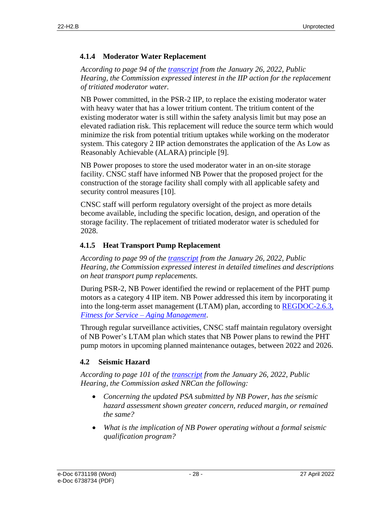## **4.1.4 Moderator Water Replacement**

*According to page 94 of the [transcript](http://www.nuclearsafety.gc.ca/eng/the-commission/pdf/Transcript-Hearing-Jan26,2022-e.pdf) from the January 26, 2022, Public Hearing, the Commission expressed interest in the IIP action for the replacement of tritiated moderator water.*

NB Power committed, in the PSR-2 IIP, to replace the existing moderator water with heavy water that has a lower tritium content. The tritium content of the existing moderator water is still within the safety analysis limit but may pose an elevated radiation risk. This replacement will reduce the source term which would minimize the risk from potential tritium uptakes while working on the moderator system. This category 2 IIP action demonstrates the application of the As Low as Reasonably Achievable (ALARA) principle [\[9\]](#page-55-9).

NB Power proposes to store the used moderator water in an on-site storage facility. CNSC staff have informed NB Power that the proposed project for the construction of the storage facility shall comply with all applicable safety and security control measures [\[10\]](#page-55-10).

CNSC staff will perform regulatory oversight of the project as more details become available, including the specific location, design, and operation of the storage facility. The replacement of tritiated moderator water is scheduled for 2028.

## **4.1.5 Heat Transport Pump Replacement**

*According to page 99 of the [transcript](http://www.nuclearsafety.gc.ca/eng/the-commission/pdf/Transcript-Hearing-Jan26,2022-e.pdf) from the January 26, 2022, Public Hearing, the Commission expressed interest in detailed timelines and descriptions on heat transport pump replacements.*

During PSR-2, NB Power identified the rewind or replacement of the PHT pump motors as a category 4 IIP item. NB Power addressed this item by incorporating it into the long-term asset management (LTAM) plan, according to [REGDOC-2.6.3,](http://nuclearsafety.gc.ca/eng/acts-and-regulations/regulatory-documents/published/html/regdoc2-6-3/index.cfm) *Fitness for Service – Aging [Management](http://nuclearsafety.gc.ca/eng/acts-and-regulations/regulatory-documents/published/html/regdoc2-6-3/index.cfm)*.

Through regular surveillance activities, CNSC staff maintain regulatory oversight of NB Power's LTAM plan which states that NB Power plans to rewind the PHT pump motors in upcoming planned maintenance outages, between 2022 and 2026.

## <span id="page-33-0"></span>**4.2 Seismic Hazard**

*According to page 101 of the [transcript](http://www.nuclearsafety.gc.ca/eng/the-commission/pdf/Transcript-Hearing-Jan26,2022-e.pdf) from the January 26, 2022, Public Hearing, the Commission asked NRCan the following:*

- *Concerning the updated PSA submitted by NB Power, has the seismic hazard assessment shown greater concern, reduced margin, or remained the same?*
- *What is the implication of NB Power operating without a formal seismic qualification program?*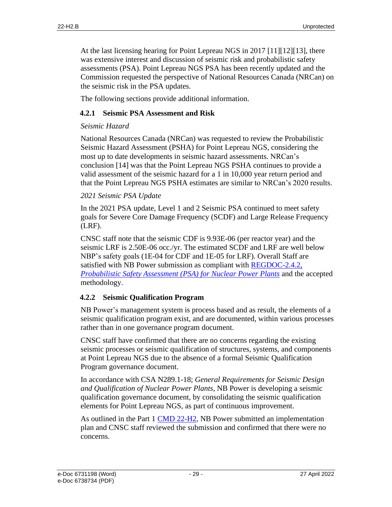At the last licensing hearing for Point Lepreau NGS in 2017 [\[11\]](#page-55-11)[\[12\]](#page-55-12)[\[13\]](#page-56-0), there was extensive interest and discussion of seismic risk and probabilistic safety assessments (PSA). Point Lepreau NGS PSA has been recently updated and the Commission requested the perspective of National Resources Canada (NRCan) on the seismic risk in the PSA updates.

The following sections provide additional information.

## **4.2.1 Seismic PSA Assessment and Risk**

### *Seismic Hazard*

National Resources Canada (NRCan) was requested to review the Probabilistic Seismic Hazard Assessment (PSHA) for Point Lepreau NGS, considering the most up to date developments in seismic hazard assessments. NRCan's conclusion [\[14\]](#page-56-1) was that the Point Lepreau NGS PSHA continues to provide a valid assessment of the seismic hazard for a 1 in 10,000 year return period and that the Point Lepreau NGS PSHA estimates are similar to NRCan's 2020 results.

## *2021 Seismic PSA Update*

In the 2021 PSA update, Level 1 and 2 Seismic PSA continued to meet safety goals for Severe Core Damage Frequency (SCDF) and Large Release Frequency (LRF).

CNSC staff note that the seismic CDF is 9.93E-06 (per reactor year) and the seismic LRF is 2.50E-06 occ./yr. The estimated SCDF and LRF are well below NBP's safety goals (1E-04 for CDF and 1E-05 for LRF). Overall Staff are satisfied with NB Power submission as compliant with REGDOC-2.4.2, *[Probabilistic Safety Assessment \(PSA\) for Nuclear Power Plants](http://nuclearsafety.gc.ca/eng/acts-and-regulations/regulatory-documents/published/html/regdoc2-4-2/index.cfm)* and the accepted methodology.

## **4.2.2 Seismic Qualification Program**

NB Power's management system is process based and as result, the elements of a seismic qualification program exist, and are documented, within various processes rather than in one governance program document.

CNSC staff have confirmed that there are no concerns regarding the existing seismic processes or seismic qualification of structures, systems, and components at Point Lepreau NGS due to the absence of a formal Seismic Qualification Program governance document.

In accordance with CSA N289.1-18; *General Requirements for Seismic Design and Qualification of Nuclear Power Plants,* NB Power is developing a seismic qualification governance document, by consolidating the seismic qualification elements for Point Lepreau NGS, as part of continuous improvement.

As outlined in the Part 1 CMD [22-H2,](https://www.nuclearsafety.gc.ca/eng/the-commission/hearings/cmd/pdf/CMD22/CMD22-H2.pdf) NB Power submitted an implementation plan and CNSC staff reviewed the submission and confirmed that there were no concerns.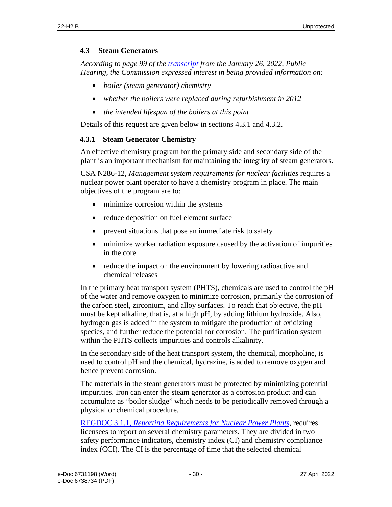## <span id="page-35-0"></span>**4.3 Steam Generators**

*According to page 99 of the [transcript](http://www.nuclearsafety.gc.ca/eng/the-commission/pdf/Transcript-Hearing-Jan26,2022-e.pdf) from the January 26, 2022, Public Hearing, the Commission expressed interest in being provided information on:*

- *boiler (steam generator) chemistry*
- *whether the boilers were replaced during refurbishment in 2012*
- *the intended lifespan of the boilers at this point*

Details of this request are given below in sections 4.3.1 and 4.3.2.

## **4.3.1 Steam Generator Chemistry**

An effective chemistry program for the primary side and secondary side of the plant is an important mechanism for maintaining the integrity of steam generators.

CSA N286-12, *Management system requirements for nuclear facilities* requires a nuclear power plant operator to have a chemistry program in place. The main objectives of the program are to:

- minimize corrosion within the systems
- reduce deposition on fuel element surface
- prevent situations that pose an immediate risk to safety
- minimize worker radiation exposure caused by the activation of impurities in the core
- reduce the impact on the environment by lowering radioactive and chemical releases

In the primary heat transport system (PHTS), chemicals are used to control the pH of the water and remove oxygen to minimize corrosion, primarily the corrosion of the carbon steel, zirconium, and alloy surfaces. To reach that objective, the pH must be kept alkaline, that is, at a high pH, by adding lithium hydroxide. Also, hydrogen gas is added in the system to mitigate the production of oxidizing species, and further reduce the potential for corrosion. The purification system within the PHTS collects impurities and controls alkalinity.

In the secondary side of the heat transport system, the chemical, morpholine, is used to control pH and the chemical, hydrazine, is added to remove oxygen and hence prevent corrosion.

The materials in the steam generators must be protected by minimizing potential impurities. Iron can enter the steam generator as a corrosion product and can accumulate as "boiler sludge" which needs to be periodically removed through a physical or chemical procedure.

REGDOC 3.1.1, *[Reporting Requirements for Nuclear Power Plants](http://nuclearsafety.gc.ca/eng/acts-and-regulations/regulatory-documents/published/html/regdoc3-1-1-v2/index.cfm)*, requires licensees to report on several chemistry parameters. They are divided in two safety performance indicators, chemistry index (CI) and chemistry compliance index (CCI). The CI is the percentage of time that the selected chemical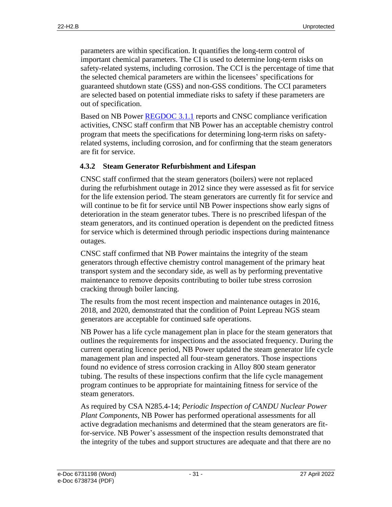parameters are within specification. It quantifies the long-term control of important chemical parameters. The CI is used to determine long-term risks on safety-related systems, including corrosion. The CCI is the percentage of time that the selected chemical parameters are within the licensees' specifications for guaranteed shutdown state (GSS) and non-GSS conditions. The CCI parameters are selected based on potential immediate risks to safety if these parameters are out of specification.

Based on NB Power [REGDOC](http://nuclearsafety.gc.ca/eng/acts-and-regulations/regulatory-documents/published/html/regdoc3-1-1-v2/index.cfm) 3.1.1 reports and CNSC compliance verification activities, CNSC staff confirm that NB Power has an acceptable chemistry control program that meets the specifications for determining long-term risks on safetyrelated systems, including corrosion, and for confirming that the steam generators are fit for service.

## **4.3.2 Steam Generator Refurbishment and Lifespan**

CNSC staff confirmed that the steam generators (boilers) were not replaced during the refurbishment outage in 2012 since they were assessed as fit for service for the life extension period. The steam generators are currently fit for service and will continue to be fit for service until NB Power inspections show early signs of deterioration in the steam generator tubes. There is no prescribed lifespan of the steam generators, and its continued operation is dependent on the predicted fitness for service which is determined through periodic inspections during maintenance outages.

CNSC staff confirmed that NB Power maintains the integrity of the steam generators through effective chemistry control management of the primary heat transport system and the secondary side, as well as by performing preventative maintenance to remove deposits contributing to boiler tube stress corrosion cracking through boiler lancing.

The results from the most recent inspection and maintenance outages in 2016, 2018, and 2020, demonstrated that the condition of Point Lepreau NGS steam generators are acceptable for continued safe operations.

NB Power has a life cycle management plan in place for the steam generators that outlines the requirements for inspections and the associated frequency. During the current operating licence period, NB Power updated the steam generator life cycle management plan and inspected all four-steam generators. Those inspections found no evidence of stress corrosion cracking in Alloy 800 steam generator tubing. The results of these inspections confirm that the life cycle management program continues to be appropriate for maintaining fitness for service of the steam generators.

As required by CSA N285.4-14; *Periodic Inspection of CANDU Nuclear Power Plant Components*, NB Power has performed operational assessments for all active degradation mechanisms and determined that the steam generators are fitfor-service. NB Power's assessment of the inspection results demonstrated that the integrity of the tubes and support structures are adequate and that there are no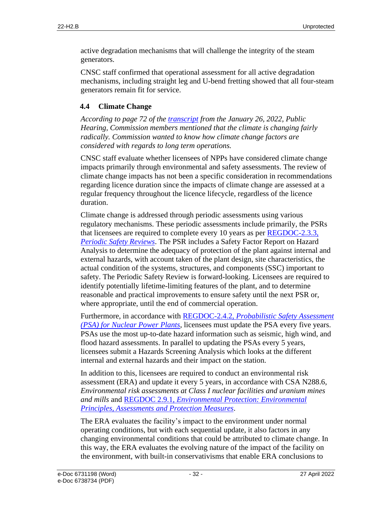active degradation mechanisms that will challenge the integrity of the steam generators.

CNSC staff confirmed that operational assessment for all active degradation mechanisms, including straight leg and U-bend fretting showed that all four-steam generators remain fit for service.

## <span id="page-37-0"></span>**4.4 Climate Change**

*According to page 72 of the [transcript](http://www.nuclearsafety.gc.ca/eng/the-commission/pdf/Transcript-Hearing-Jan26,2022-e.pdf) from the January 26, 2022, Public Hearing, Commission members mentioned that the climate is changing fairly radically. Commission wanted to know how climate change factors are considered with regards to long term operations.*

CNSC staff evaluate whether licensees of NPPs have considered climate change impacts primarily through environmental and safety assessments. The review of climate change impacts has not been a specific consideration in recommendations regarding licence duration since the impacts of climate change are assessed at a regular frequency throughout the licence lifecycle, regardless of the licence duration.

Climate change is addressed through periodic assessments using various regulatory mechanisms. These periodic assessments include primarily, the PSRs that licensees are required to complete every 10 years as per [REGDOC-2.3.3,](http://nuclearsafety.gc.ca/eng/acts-and-regulations/regulatory-documents/published/html/regdoc2-3-3/index.cfm)  *[Periodic Safety](http://nuclearsafety.gc.ca/eng/acts-and-regulations/regulatory-documents/published/html/regdoc2-3-3/index.cfm) Reviews*. The PSR includes a Safety Factor Report on Hazard Analysis to determine the adequacy of protection of the plant against internal and external hazards, with account taken of the plant design, site characteristics, the actual condition of the systems, structures, and components (SSC) important to safety. The Periodic Safety Review is forward-looking. Licensees are required to identify potentially lifetime-limiting features of the plant, and to determine reasonable and practical improvements to ensure safety until the next PSR or, where appropriate, until the end of commercial operation.

Furthermore, in accordance with REGDOC-2.4.2, *[Probabilistic Safety Assessment](http://nuclearsafety.gc.ca/eng/acts-and-regulations/regulatory-documents/published/html/regdoc2-4-2/index.cfm)  [\(PSA\) for Nuclear Power Plants](http://nuclearsafety.gc.ca/eng/acts-and-regulations/regulatory-documents/published/html/regdoc2-4-2/index.cfm)*, licensees must update the PSA every five years. PSAs use the most up-to-date hazard information such as seismic, high wind, and flood hazard assessments. In parallel to updating the PSAs every 5 years, licensees submit a Hazards Screening Analysis which looks at the different internal and external hazards and their impact on the station.

In addition to this, licensees are required to conduct an environmental risk assessment (ERA) and update it every 5 years, in accordance with CSA N288.6, *Environmental risk assessments at Class I nuclear facilities and uranium mines and mills* and REGDOC 2.9.1, *[Environmental Protection: Environmental](http://nuclearsafety.gc.ca/eng/acts-and-regulations/regulatory-documents/published/html/regdoc2-9-1-vol1-2/index.cfm)  [Principles, Assessments and Protection Measures](http://nuclearsafety.gc.ca/eng/acts-and-regulations/regulatory-documents/published/html/regdoc2-9-1-vol1-2/index.cfm)*.

The ERA evaluates the facility's impact to the environment under normal operating conditions, but with each sequential update, it also factors in any changing environmental conditions that could be attributed to climate change. In this way, the ERA evaluates the evolving nature of the impact of the facility on the environment, with built-in conservativisms that enable ERA conclusions to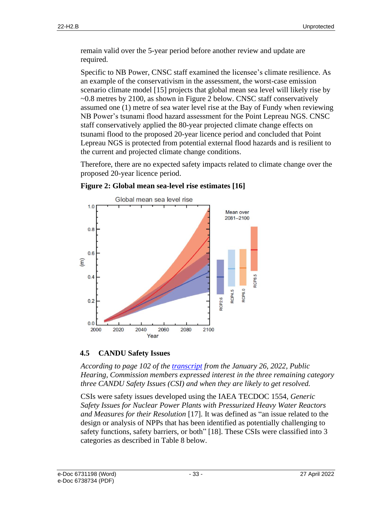remain valid over the 5-year period before another review and update are required.

Specific to NB Power, CNSC staff examined the licensee's climate resilience. As an example of the conservativism in the assessment, the worst-case emission scenario climate model [\[15\]](#page-56-2) projects that global mean sea level will likely rise by ~0.8 metres by 2100, as shown in [Figure 2](#page-38-1) below. CNSC staff conservatively assumed one (1) metre of sea water level rise at the Bay of Fundy when reviewing NB Power's tsunami flood hazard assessment for the Point Lepreau NGS. CNSC staff conservatively applied the 80-year projected climate change effects on tsunami flood to the proposed 20-year licence period and concluded that Point Lepreau NGS is protected from potential external flood hazards and is resilient to the current and projected climate change conditions.

Therefore, there are no expected safety impacts related to climate change over the proposed 20-year licence period.

<span id="page-38-1"></span>

## **Figure 2: Global mean sea-level rise estimates [\[16\]](#page-56-3)**

#### <span id="page-38-0"></span>**4.5 CANDU Safety Issues**

*According to page 102 of the [transcript](http://www.nuclearsafety.gc.ca/eng/the-commission/pdf/Transcript-Hearing-Jan26,2022-e.pdf) from the January 26, 2022, Public Hearing, Commission members expressed interest in the three remaining category three CANDU Safety Issues (CSI) and when they are likely to get resolved.*

CSIs were safety issues developed using the IAEA TECDOC 1554, *Generic Safety Issues for Nuclear Power Plants with Pressurized Heavy Water Reactors and Measures for their Resolution* [\[17\]](#page-56-4). It was defined as "an issue related to the design or analysis of NPPs that has been identified as potentially challenging to safety functions, safety barriers, or both" [\[18\]](#page-56-5). These CSIs were classified into 3 categories as described in [Table 8](#page-39-0) below.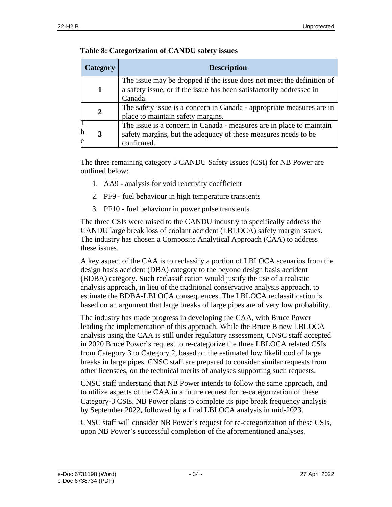| Category | <b>Description</b>                                                                                                                                       |
|----------|----------------------------------------------------------------------------------------------------------------------------------------------------------|
| 1        | The issue may be dropped if the issue does not meet the definition of<br>a safety issue, or if the issue has been satisfactorily addressed in<br>Canada. |
| 2        | The safety issue is a concern in Canada - appropriate measures are in<br>place to maintain safety margins.                                               |
| 3        | The issue is a concern in Canada - measures are in place to maintain<br>safety margins, but the adequacy of these measures needs to be<br>confirmed.     |

### <span id="page-39-0"></span>**Table 8: Categorization of CANDU safety issues**

The three remaining category 3 CANDU Safety Issues (CSI) for NB Power are outlined below:

- 1. AA9 analysis for void reactivity coefficient
- 2. PF9 fuel behaviour in high temperature transients
- 3. PF10 fuel behaviour in power pulse transients

The three CSIs were raised to the CANDU industry to specifically address the CANDU large break loss of coolant accident (LBLOCA) safety margin issues. The industry has chosen a Composite Analytical Approach (CAA) to address these issues.

A key aspect of the CAA is to reclassify a portion of LBLOCA scenarios from the design basis accident (DBA) category to the beyond design basis accident (BDBA) category. Such reclassification would justify the use of a realistic analysis approach, in lieu of the traditional conservative analysis approach, to estimate the BDBA-LBLOCA consequences. The LBLOCA reclassification is based on an argument that large breaks of large pipes are of very low probability.

The industry has made progress in developing the CAA, with Bruce Power leading the implementation of this approach. While the Bruce B new LBLOCA analysis using the CAA is still under regulatory assessment, CNSC staff accepted in 2020 Bruce Power's request to re-categorize the three LBLOCA related CSIs from Category 3 to Category 2, based on the estimated low likelihood of large breaks in large pipes. CNSC staff are prepared to consider similar requests from other licensees, on the technical merits of analyses supporting such requests.

CNSC staff understand that NB Power intends to follow the same approach, and to utilize aspects of the CAA in a future request for re-categorization of these Category-3 CSIs. NB Power plans to complete its pipe break frequency analysis by September 2022, followed by a final LBLOCA analysis in mid-2023.

CNSC staff will consider NB Power's request for re-categorization of these CSIs, upon NB Power's successful completion of the aforementioned analyses.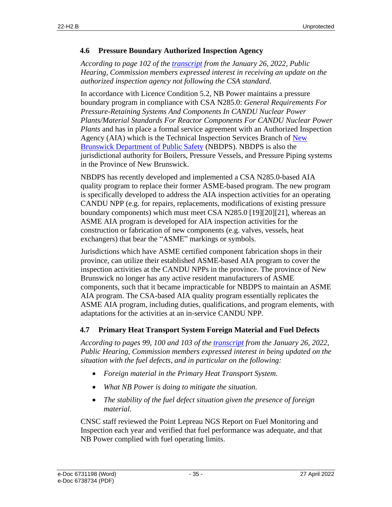### <span id="page-40-0"></span>**4.6 Pressure Boundary Authorized Inspection Agency**

*According to page 102 of the [transcript](http://www.nuclearsafety.gc.ca/eng/the-commission/pdf/Transcript-Hearing-Jan26,2022-e.pdf) from the January 26, 2022, Public Hearing, Commission members expressed interest in receiving an update on the authorized inspection agency not following the CSA standard.*

In accordance with Licence Condition 5.2, NB Power maintains a pressure boundary program in compliance with CSA N285.0: *General Requirements For Pressure-Retaining Systems And Components In CANDU Nuclear Power Plants/Material Standards For Reactor Components For CANDU Nuclear Power Plants* and has in place a formal service agreement with an Authorized Inspection Agency (AIA) which is the Technical Inspection Services Branch of [New](https://www2.gnb.ca/content/gnb/en/departments/public-safety/publicsafety.html) Brunswick [Department of Public Safety](https://www2.gnb.ca/content/gnb/en/departments/public-safety/publicsafety.html) (NBDPS). NBDPS is also the jurisdictional authority for Boilers, Pressure Vessels, and Pressure Piping systems in the Province of New Brunswick.

NBDPS has recently developed and implemented a CSA N285.0-based AIA quality program to replace their former ASME-based program. The new program is specifically developed to address the AIA inspection activities for an operating CANDU NPP (e.g. for repairs, replacements, modifications of existing pressure boundary components) which must meet CSA N285.0 [\[19\]](#page-56-6)[\[20\]](#page-56-7)[\[21\]](#page-56-8), whereas an ASME AIA program is developed for AIA inspection activities for the construction or fabrication of new components (e.g. valves, vessels, heat exchangers) that bear the "ASME" markings or symbols.

Jurisdictions which have ASME certified component fabrication shops in their province, can utilize their established ASME-based AIA program to cover the inspection activities at the CANDU NPPs in the province. The province of New Brunswick no longer has any active resident manufacturers of ASME components, such that it became impracticable for NBDPS to maintain an ASME AIA program. The CSA-based AIA quality program essentially replicates the ASME AIA program, including duties, qualifications, and program elements, with adaptations for the activities at an in-service CANDU NPP.

## <span id="page-40-1"></span>**4.7 Primary Heat Transport System Foreign Material and Fuel Defects**

*According to pages 99, 100 and 103 of the [transcript](http://www.nuclearsafety.gc.ca/eng/the-commission/pdf/Transcript-Hearing-Jan26,2022-e.pdf) from the January 26, 2022, Public Hearing, Commission members expressed interest in being updated on the situation with the fuel defects, and in particular on the following:*

- *Foreign material in the Primary Heat Transport System.*
- *What NB Power is doing to mitigate the situation.*
- *The stability of the fuel defect situation given the presence of foreign material.*

CNSC staff reviewed the Point Lepreau NGS Report on Fuel Monitoring and Inspection each year and verified that fuel performance was adequate, and that NB Power complied with fuel operating limits.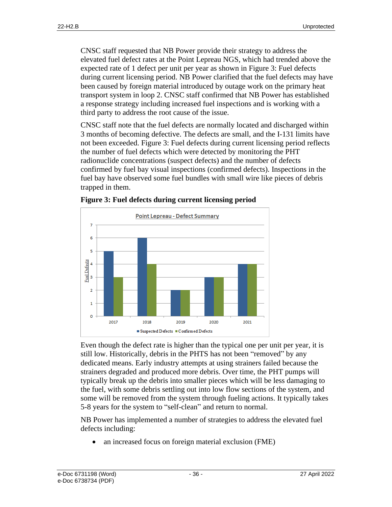CNSC staff requested that NB Power provide their strategy to address the elevated fuel defect rates at the Point Lepreau NGS, which had trended above the expected rate of 1 defect per unit per year as shown in [Figure 3: Fuel defects](#page-41-0)  [during current licensing period.](#page-41-0) NB Power clarified that the fuel defects may have been caused by foreign material introduced by outage work on the primary heat transport system in loop 2. CNSC staff confirmed that NB Power has established a response strategy including increased fuel inspections and is working with a third party to address the root cause of the issue.

CNSC staff note that the fuel defects are normally located and discharged within 3 months of becoming defective. The defects are small, and the I-131 limits have not been exceeded. [Figure 3: Fuel defects during current licensing period](#page-41-0) reflects the number of fuel defects which were detected by monitoring the PHT radionuclide concentrations (suspect defects) and the number of defects confirmed by fuel bay visual inspections (confirmed defects). Inspections in the fuel bay have observed some fuel bundles with small wire like pieces of debris trapped in them.



<span id="page-41-0"></span>**Figure 3: Fuel defects during current licensing period**

Even though the defect rate is higher than the typical one per unit per year, it is still low. Historically, debris in the PHTS has not been "removed" by any dedicated means. Early industry attempts at using strainers failed because the strainers degraded and produced more debris. Over time, the PHT pumps will typically break up the debris into smaller pieces which will be less damaging to the fuel, with some debris settling out into low flow sections of the system, and some will be removed from the system through fueling actions. It typically takes 5-8 years for the system to "self-clean" and return to normal.

NB Power has implemented a number of strategies to address the elevated fuel defects including:

• an increased focus on foreign material exclusion (FME)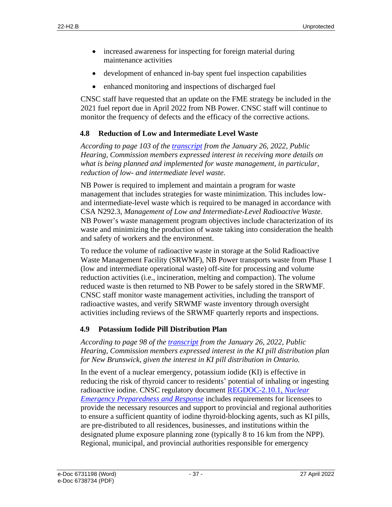- increased awareness for inspecting for foreign material during maintenance activities
- development of enhanced in-bay spent fuel inspection capabilities
- enhanced monitoring and inspections of discharged fuel

CNSC staff have requested that an update on the FME strategy be included in the 2021 fuel report due in April 2022 from NB Power. CNSC staff will continue to monitor the frequency of defects and the efficacy of the corrective actions.

## <span id="page-42-0"></span>**4.8 Reduction of Low and Intermediate Level Waste**

*According to page 103 of the [transcript](http://www.nuclearsafety.gc.ca/eng/the-commission/pdf/Transcript-Hearing-Jan26,2022-e.pdf) from the January 26, 2022, Public Hearing, Commission members expressed interest in receiving more details on what is being planned and implemented for waste management, in particular, reduction of low- and intermediate level waste.*

NB Power is required to implement and maintain a program for waste management that includes strategies for waste minimization. This includes lowand intermediate-level waste which is required to be managed in accordance with CSA N292.3, *Management of Low and Intermediate-Level Radioactive Waste*. NB Power's waste management program objectives include characterization of its waste and minimizing the production of waste taking into consideration the health and safety of workers and the environment.

To reduce the volume of radioactive waste in storage at the Solid Radioactive Waste Management Facility (SRWMF), NB Power transports waste from Phase 1 (low and intermediate operational waste) off-site for processing and volume reduction activities (i.e., incineration, melting and compaction). The volume reduced waste is then returned to NB Power to be safely stored in the SRWMF. CNSC staff monitor waste management activities, including the transport of radioactive wastes, and verify SRWMF waste inventory through oversight activities including reviews of the SRWMF quarterly reports and inspections.

## <span id="page-42-1"></span>**4.9 Potassium Iodide Pill Distribution Plan**

*According to page 98 of the [transcript](http://www.nuclearsafety.gc.ca/eng/the-commission/pdf/Transcript-Hearing-Jan26,2022-e.pdf) from the January 26, 2022, Public Hearing, Commission members expressed interest in the KI pill distribution plan for New Brunswick, given the interest in KI pill distribution in Ontario.*

In the event of a nuclear emergency, potassium iodide (KI) is effective in reducing the risk of thyroid cancer to residents' potential of inhaling or ingesting radioactive iodine. CNSC regulatory document [REGDOC-2.10.1](https://www.cnsc-ccsn.gc.ca/eng/acts-and-regulations/regulatory-documents/published/html/regdoc2-10-1v2/index.cfm)*, Nuclear [Emergency Preparedness and Response](https://www.cnsc-ccsn.gc.ca/eng/acts-and-regulations/regulatory-documents/published/html/regdoc2-10-1v2/index.cfm)* includes requirements for licensees to provide the necessary resources and support to provincial and regional authorities to ensure a sufficient quantity of iodine thyroid-blocking agents, such as KI pills, are pre-distributed to all residences, businesses, and institutions within the designated plume exposure planning zone (typically 8 to 16 km from the NPP). Regional, municipal, and provincial authorities responsible for emergency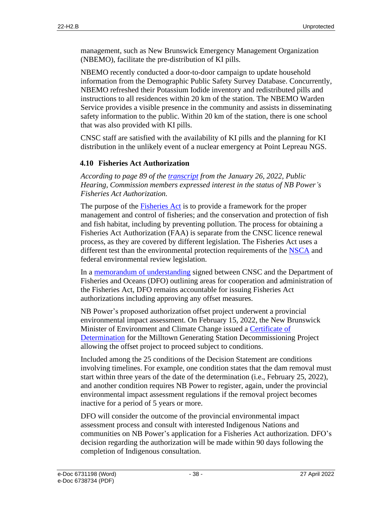management, such as New Brunswick Emergency Management Organization (NBEMO), facilitate the pre-distribution of KI pills.

NBEMO recently conducted a door-to-door campaign to update household information from the Demographic Public Safety Survey Database. Concurrently, NBEMO refreshed their Potassium Iodide inventory and redistributed pills and instructions to all residences within 20 km of the station. The NBEMO Warden Service provides a visible presence in the community and assists in disseminating safety information to the public. Within 20 km of the station, there is one school that was also provided with KI pills.

CNSC staff are satisfied with the availability of KI pills and the planning for KI distribution in the unlikely event of a nuclear emergency at Point Lepreau NGS.

## <span id="page-43-0"></span>**4.10 Fisheries Act Authorization**

*According to page 89 of the [transcript](http://www.nuclearsafety.gc.ca/eng/the-commission/pdf/Transcript-Hearing-Jan26,2022-e.pdf) from the January 26, 2022, Public Hearing, Commission members expressed interest in the status of NB Power's Fisheries Act Authorization.*

The purpose of the **Fisheries Act** is to provide a framework for the proper management and control of fisheries; and the conservation and protection of fish and fish habitat, including by preventing pollution. The process for obtaining a Fisheries Act Authorization (FAA) is separate from the CNSC licence renewal process, as they are covered by different legislation. The Fisheries Act uses a different test than the environmental protection requirements of the [NSCA](https://laws-lois.justice.gc.ca/eng/acts/n-28.3/) and federal environmental review legislation.

In a [memorandum of understanding](https://nuclearsafety.gc.ca/eng/acts-and-regulations/memorandums-of-understanding/mou-cnsc-fisheries-oceans.cfm) signed between CNSC and the Department of Fisheries and Oceans (DFO) outlining areas for cooperation and administration of the Fisheries Act, DFO remains accountable for issuing Fisheries Act authorizations including approving any offset measures.

NB Power's proposed authorization offset project underwent a provincial environmental impact assessment. On February 15, 2022, the New Brunswick Minister of Environment and Climate Change issued a [Certificate of](https://www2.gnb.ca/content/dam/gnb/Departments/env/pdf/EIA-EIE/Registrations-Engegistrements/2020/4561-3-1553-conditions-en.pdf)  **[Determination](https://www2.gnb.ca/content/dam/gnb/Departments/env/pdf/EIA-EIE/Registrations-Engegistrements/2020/4561-3-1553-conditions-en.pdf)** for the Milltown Generating Station Decommissioning Project allowing the offset project to proceed subject to conditions.

Included among the 25 conditions of the Decision Statement are conditions involving timelines. For example, one condition states that the dam removal must start within three years of the date of the determination (i.e., February 25, 2022), and another condition requires NB Power to register, again, under the provincial environmental impact assessment regulations if the removal project becomes inactive for a period of 5 years or more.

DFO will consider the outcome of the provincial environmental impact assessment process and consult with interested Indigenous Nations and communities on NB Power's application for a Fisheries Act authorization. DFO's decision regarding the authorization will be made within 90 days following the completion of Indigenous consultation.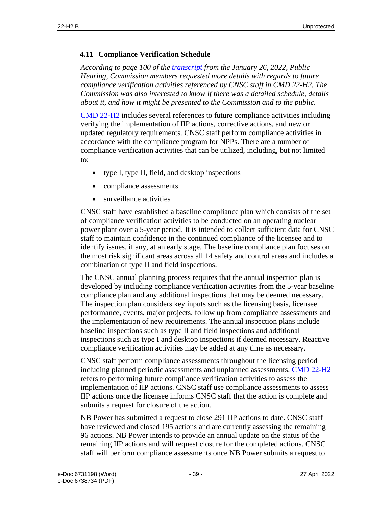## <span id="page-44-0"></span>**4.11 Compliance Verification Schedule**

*According to page 100 of the [transcript](http://www.nuclearsafety.gc.ca/eng/the-commission/pdf/Transcript-Hearing-Jan26,2022-e.pdf) from the January 26, 2022, Public Hearing, Commission members requested more details with regards to future compliance verification activities referenced by CNSC staff in CMD 22-H2. The Commission was also interested to know if there was a detailed schedule, details about it, and how it might be presented to the Commission and to the public.*

CMD [22-H2](https://www.nuclearsafety.gc.ca/eng/the-commission/hearings/cmd/pdf/CMD22/CMD22-H2.pdf) includes several references to future compliance activities including verifying the implementation of IIP actions, corrective actions, and new or updated regulatory requirements. CNSC staff perform compliance activities in accordance with the compliance program for NPPs. There are a number of compliance verification activities that can be utilized, including, but not limited to:

- type I, type II, field, and desktop inspections
- compliance assessments
- surveillance activities

CNSC staff have established a baseline compliance plan which consists of the set of compliance verification activities to be conducted on an operating nuclear power plant over a 5-year period. It is intended to collect sufficient data for CNSC staff to maintain confidence in the continued compliance of the licensee and to identify issues, if any, at an early stage. The baseline compliance plan focuses on the most risk significant areas across all 14 safety and control areas and includes a combination of type II and field inspections.

The CNSC annual planning process requires that the annual inspection plan is developed by including compliance verification activities from the 5-year baseline compliance plan and any additional inspections that may be deemed necessary. The inspection plan considers key inputs such as the licensing basis, licensee performance, events, major projects, follow up from compliance assessments and the implementation of new requirements. The annual inspection plans include baseline inspections such as type II and field inspections and additional inspections such as type I and desktop inspections if deemed necessary. Reactive compliance verification activities may be added at any time as necessary.

CNSC staff perform compliance assessments throughout the licensing period including planned periodic assessments and unplanned assessments. CMD [22-H2](https://www.nuclearsafety.gc.ca/eng/the-commission/hearings/cmd/pdf/CMD22/CMD22-H2.pdf) refers to performing future compliance verification activities to assess the implementation of IIP actions. CNSC staff use compliance assessments to assess IIP actions once the licensee informs CNSC staff that the action is complete and submits a request for closure of the action.

NB Power has submitted a request to close 291 IIP actions to date. CNSC staff have reviewed and closed 195 actions and are currently assessing the remaining 96 actions. NB Power intends to provide an annual update on the status of the remaining IIP actions and will request closure for the completed actions. CNSC staff will perform compliance assessments once NB Power submits a request to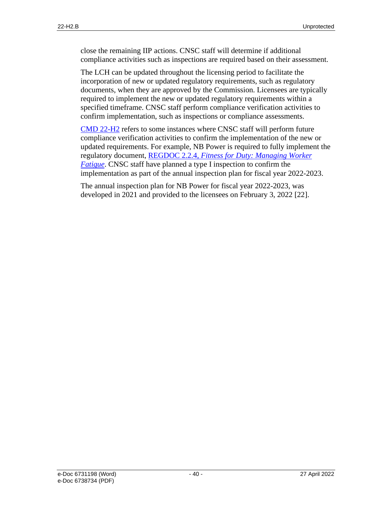close the remaining IIP actions. CNSC staff will determine if additional compliance activities such as inspections are required based on their assessment.

The LCH can be updated throughout the licensing period to facilitate the incorporation of new or updated regulatory requirements, such as regulatory documents, when they are approved by the Commission. Licensees are typically required to implement the new or updated regulatory requirements within a specified timeframe. CNSC staff perform compliance verification activities to confirm implementation, such as inspections or compliance assessments.

CMD [22-H2](https://www.nuclearsafety.gc.ca/eng/the-commission/hearings/cmd/pdf/CMD22/CMD22-H2.pdf) refers to some instances where CNSC staff will perform future compliance verification activities to confirm the implementation of the new or updated requirements. For example, NB Power is required to fully implement the regulatory document, REGDOC 2.2.4, *[Fitness for Duty: Managing Worker](http://nuclearsafety.gc.ca/eng/acts-and-regulations/regulatory-documents/published/html/regdoc2-2-4/index.cfm)  [Fatigue](http://nuclearsafety.gc.ca/eng/acts-and-regulations/regulatory-documents/published/html/regdoc2-2-4/index.cfm)*. CNSC staff have planned a type I inspection to confirm the implementation as part of the annual inspection plan for fiscal year 2022-2023.

The annual inspection plan for NB Power for fiscal year 2022-2023, was developed in 2021 and provided to the licensees on February 3, 2022 [\[22\]](#page-56-9).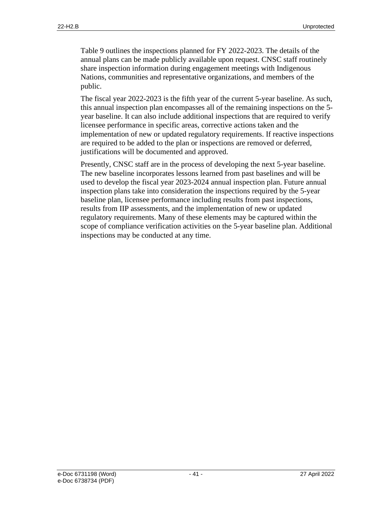[Table 9](#page-46-0) outlines the inspections planned for FY 2022-2023. The details of the annual plans can be made publicly available upon request. CNSC staff routinely share inspection information during engagement meetings with Indigenous Nations, communities and representative organizations, and members of the public.

The fiscal year 2022-2023 is the fifth year of the current 5-year baseline. As such, this annual inspection plan encompasses all of the remaining inspections on the 5 year baseline. It can also include additional inspections that are required to verify licensee performance in specific areas, corrective actions taken and the implementation of new or updated regulatory requirements. If reactive inspections are required to be added to the plan or inspections are removed or deferred, justifications will be documented and approved.

<span id="page-46-0"></span>Presently, CNSC staff are in the process of developing the next 5-year baseline. The new baseline incorporates lessons learned from past baselines and will be used to develop the fiscal year 2023-2024 annual inspection plan. Future annual inspection plans take into consideration the inspections required by the 5-year baseline plan, licensee performance including results from past inspections, results from IIP assessments, and the implementation of new or updated regulatory requirements. Many of these elements may be captured within the scope of compliance verification activities on the 5-year baseline plan. Additional inspections may be conducted at any time.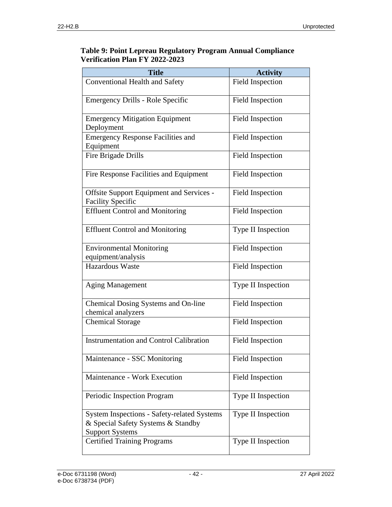| <b>Title</b>                                                                                                       | <b>Activity</b>         |
|--------------------------------------------------------------------------------------------------------------------|-------------------------|
| Conventional Health and Safety                                                                                     | <b>Field Inspection</b> |
| Emergency Drills - Role Specific                                                                                   | <b>Field Inspection</b> |
| <b>Emergency Mitigation Equipment</b><br>Deployment                                                                | <b>Field Inspection</b> |
| <b>Emergency Response Facilities and</b><br>Equipment                                                              | <b>Field Inspection</b> |
| Fire Brigade Drills                                                                                                | <b>Field Inspection</b> |
| Fire Response Facilities and Equipment                                                                             | <b>Field Inspection</b> |
| <b>Offsite Support Equipment and Services -</b><br><b>Facility Specific</b>                                        | <b>Field Inspection</b> |
| <b>Effluent Control and Monitoring</b>                                                                             | <b>Field Inspection</b> |
| <b>Effluent Control and Monitoring</b>                                                                             | Type II Inspection      |
| <b>Environmental Monitoring</b><br>equipment/analysis                                                              | <b>Field Inspection</b> |
| <b>Hazardous Waste</b>                                                                                             | <b>Field Inspection</b> |
| <b>Aging Management</b>                                                                                            | Type II Inspection      |
| Chemical Dosing Systems and On-line<br>chemical analyzers                                                          | <b>Field Inspection</b> |
| <b>Chemical Storage</b>                                                                                            | <b>Field Inspection</b> |
| <b>Instrumentation and Control Calibration</b>                                                                     | Field Inspection        |
| Maintenance - SSC Monitoring                                                                                       | <b>Field Inspection</b> |
| Maintenance - Work Execution                                                                                       | <b>Field Inspection</b> |
| Periodic Inspection Program                                                                                        | Type II Inspection      |
| <b>System Inspections - Safety-related Systems</b><br>& Special Safety Systems & Standby<br><b>Support Systems</b> | Type II Inspection      |
| <b>Certified Training Programs</b>                                                                                 | Type II Inspection      |

## **Table 9: Point Lepreau Regulatory Program Annual Compliance Verification Plan FY 2022-2023**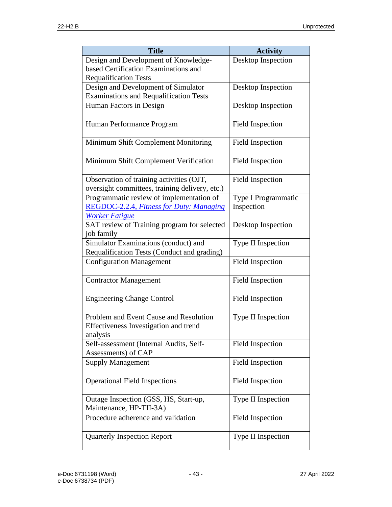| <b>Title</b>                                                                                | <b>Activity</b>                   |
|---------------------------------------------------------------------------------------------|-----------------------------------|
| Design and Development of Knowledge-                                                        | Desktop Inspection                |
| based Certification Examinations and                                                        |                                   |
| <b>Requalification Tests</b>                                                                |                                   |
| Design and Development of Simulator                                                         | Desktop Inspection                |
| <b>Examinations and Requalification Tests</b>                                               |                                   |
| Human Factors in Design                                                                     | Desktop Inspection                |
| Human Performance Program                                                                   | Field Inspection                  |
| Minimum Shift Complement Monitoring                                                         | <b>Field Inspection</b>           |
| Minimum Shift Complement Verification                                                       | <b>Field Inspection</b>           |
| Observation of training activities (OJT,                                                    | <b>Field Inspection</b>           |
| oversight committees, training delivery, etc.)                                              |                                   |
| Programmatic review of implementation of<br>REGDOC-2.2.4, Fitness for Duty: Managing        | Type I Programmatic<br>Inspection |
| <b>Worker Fatigue</b>                                                                       |                                   |
| SAT review of Training program for selected<br>job family                                   | Desktop Inspection                |
| Simulator Examinations (conduct) and                                                        | Type II Inspection                |
| Requalification Tests (Conduct and grading)                                                 |                                   |
| <b>Configuration Management</b>                                                             | Field Inspection                  |
| <b>Contractor Management</b>                                                                | <b>Field Inspection</b>           |
| <b>Engineering Change Control</b>                                                           | Field Inspection                  |
| Problem and Event Cause and Resolution<br>Effectiveness Investigation and trend<br>analysis | Type II Inspection                |
| Self-assessment (Internal Audits, Self-                                                     | <b>Field Inspection</b>           |
| Assessments) of CAP                                                                         |                                   |
| <b>Supply Management</b>                                                                    | <b>Field Inspection</b>           |
| <b>Operational Field Inspections</b>                                                        | Field Inspection                  |
| Outage Inspection (GSS, HS, Start-up,<br>Maintenance, HP-TII-3A)                            | Type II Inspection                |
| Procedure adherence and validation                                                          | Field Inspection                  |
| <b>Quarterly Inspection Report</b>                                                          | Type II Inspection                |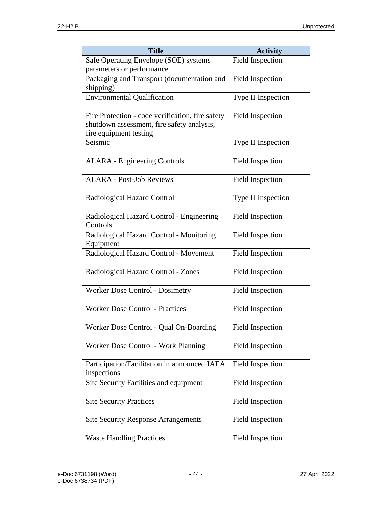| <b>Title</b>                                                | <b>Activity</b>         |
|-------------------------------------------------------------|-------------------------|
| Safe Operating Envelope (SOE) systems                       | <b>Field Inspection</b> |
| parameters or performance                                   |                         |
| Packaging and Transport (documentation and                  | <b>Field Inspection</b> |
| shipping)                                                   |                         |
| <b>Environmental Qualification</b>                          | Type II Inspection      |
| Fire Protection - code verification, fire safety            | <b>Field Inspection</b> |
| shutdown assessment, fire safety analysis,                  |                         |
| fire equipment testing                                      |                         |
| Seismic                                                     | Type II Inspection      |
| <b>ALARA - Engineering Controls</b>                         | <b>Field Inspection</b> |
| <b>ALARA - Post-Job Reviews</b>                             | <b>Field Inspection</b> |
| Radiological Hazard Control                                 | Type II Inspection      |
| Radiological Hazard Control - Engineering<br>Controls       | <b>Field Inspection</b> |
| Radiological Hazard Control - Monitoring<br>Equipment       | Field Inspection        |
| Radiological Hazard Control - Movement                      | <b>Field Inspection</b> |
| Radiological Hazard Control - Zones                         | <b>Field Inspection</b> |
| <b>Worker Dose Control - Dosimetry</b>                      | Field Inspection        |
| <b>Worker Dose Control - Practices</b>                      | <b>Field Inspection</b> |
| Worker Dose Control - Qual On-Boarding                      | <b>Field Inspection</b> |
| Worker Dose Control - Work Planning                         | Field Inspection        |
| Participation/Facilitation in announced IAEA<br>inspections | <b>Field Inspection</b> |
| Site Security Facilities and equipment                      | <b>Field Inspection</b> |
| <b>Site Security Practices</b>                              | <b>Field Inspection</b> |
| <b>Site Security Response Arrangements</b>                  | <b>Field Inspection</b> |
| <b>Waste Handling Practices</b>                             | Field Inspection        |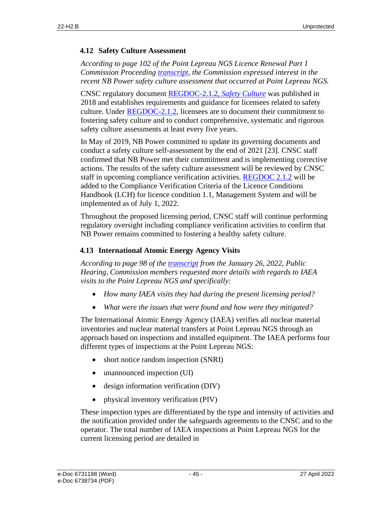## <span id="page-50-0"></span>**4.12 Safety Culture Assessment**

*According to page 102 of the Point Lepreau NGS Licence Renewal Part 1 Commission Proceeding [transcript,](http://www.nuclearsafety.gc.ca/eng/the-commission/pdf/Transcript-Hearing-Jan26,2022-e.pdf) the Commission expressed interest in the recent NB Power safety culture assessment that occurred at Point Lepreau NGS.*

CNSC regulatory document [REGDOC-2.1.2,](http://nuclearsafety.gc.ca/eng/acts-and-regulations/regulatory-documents/published/html/regdoc2-1-2/index.cfm) *Safety Culture* was published in 2018 and establishes requirements and guidance for licensees related to safety culture. Under **REGDOC-2.1.2**, licensees are to document their commitment to fostering safety culture and to conduct comprehensive, systematic and rigorous safety culture assessments at least every five years.

In May of 2019, NB Power committed to update its governing documents and conduct a safety culture self-assessment by the end of 2021 [\[23\]](#page-56-10). CNSC staff confirmed that NB Power met their commitment and is implementing corrective actions. The results of the safety culture assessment will be reviewed by CNSC staff in upcoming compliance verification activities. [REGDOC](http://nuclearsafety.gc.ca/eng/acts-and-regulations/regulatory-documents/published/html/regdoc2-1-2/index.cfm) 2.1.2 will be added to the Compliance Verification Criteria of the Licence Conditions Handbook (LCH) for licence condition 1.1, Management System and will be implemented as of July 1, 2022.

Throughout the proposed licensing period, CNSC staff will continue performing regulatory oversight including compliance verification activities to confirm that NB Power remains committed to fostering a healthy safety culture.

## <span id="page-50-1"></span>**4.13 International Atomic Energy Agency Visits**

*According to page 98 of the [transcript](http://www.nuclearsafety.gc.ca/eng/the-commission/pdf/Transcript-Hearing-Jan26,2022-e.pdf) from the January 26, 2022, Public Hearing, Commission members requested more details with regards to IAEA visits to the Point Lepreau NGS and specifically:*

- *How many IAEA visits they had during the present licensing period?*
- *What were the issues that were found and how were they mitigated?*

The International Atomic Energy Agency (IAEA) verifies all nuclear material inventories and nuclear material transfers at Point Lepreau NGS through an approach based on inspections and installed equipment. The IAEA performs four different types of inspections at the Point Lepreau NGS:

- short notice random inspection (SNRI)
- unannounced inspection (UI)
- design information verification (DIV)
- physical inventory verification (PIV)

These inspection types are differentiated by the type and intensity of activities and the notification provided under the safeguards agreements to the CNSC and to the operator. The total number of IAEA inspections at Point Lepreau NGS for the current licensing period are detailed in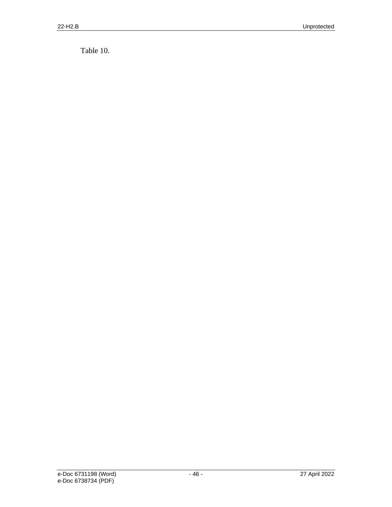<span id="page-51-0"></span>[Table 10.](#page-51-0)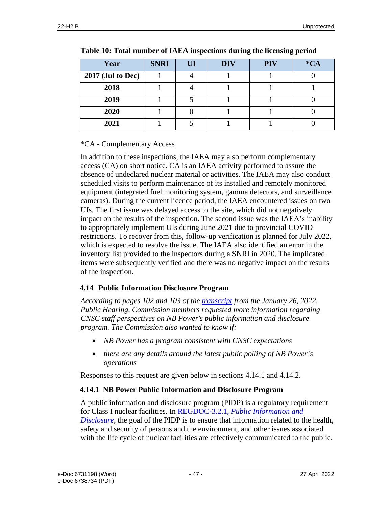| Year                | <b>SNRI</b> | UI | <b>DIV</b> | <b>PIV</b> | $*CA$ |
|---------------------|-------------|----|------------|------------|-------|
| $2017$ (Jul to Dec) |             |    |            |            |       |
| 2018                |             |    |            |            |       |
| 2019                |             |    |            |            |       |
| 2020                |             |    |            |            |       |
| 2021                |             |    |            |            |       |

|  | Table 10: Total number of IAEA inspections during the licensing period |  |  |  |  |  |
|--|------------------------------------------------------------------------|--|--|--|--|--|
|  |                                                                        |  |  |  |  |  |
|  |                                                                        |  |  |  |  |  |
|  |                                                                        |  |  |  |  |  |

## \*CA - Complementary Access

In addition to these inspections, the IAEA may also perform complementary access (CA) on short notice. CA is an IAEA activity performed to assure the absence of undeclared nuclear material or activities. The IAEA may also conduct scheduled visits to perform maintenance of its installed and remotely monitored equipment (integrated fuel monitoring system, gamma detectors, and surveillance cameras). During the current licence period, the IAEA encountered issues on two UIs. The first issue was delayed access to the site, which did not negatively impact on the results of the inspection. The second issue was the IAEA's inability to appropriately implement UIs during June 2021 due to provincial COVID restrictions. To recover from this, follow-up verification is planned for July 2022, which is expected to resolve the issue. The IAEA also identified an error in the inventory list provided to the inspectors during a SNRI in 2020. The implicated items were subsequently verified and there was no negative impact on the results of the inspection.

## <span id="page-52-0"></span>**4.14 Public Information Disclosure Program**

*According to pages 102 and 103 of the [transcript](http://www.nuclearsafety.gc.ca/eng/the-commission/pdf/Transcript-Hearing-Jan26,2022-e.pdf) from the January 26, 2022, Public Hearing, Commission members requested more information regarding CNSC staff perspectives on NB Power's public information and disclosure program. The Commission also wanted to know if:*

- *NB Power has a program consistent with CNSC expectations*
- *there are any details around the latest public polling of NB Power's operations*

Responses to this request are given below in sections 4.14.1 and 4.14.2.

## **4.14.1 NB Power Public Information and Disclosure Program**

A public information and disclosure program (PIDP) is a regulatory requirement for Class I nuclear facilities. In REGDOC-3.2.1, *[Public Information and](http://nuclearsafety.gc.ca/eng/acts-and-regulations/regulatory-documents/published/html/regdoc3-2-1/index.cfm)  [Disclosure](http://nuclearsafety.gc.ca/eng/acts-and-regulations/regulatory-documents/published/html/regdoc3-2-1/index.cfm)*, the goal of the PIDP is to ensure that information related to the health, safety and security of persons and the environment, and other issues associated with the life cycle of nuclear facilities are effectively communicated to the public.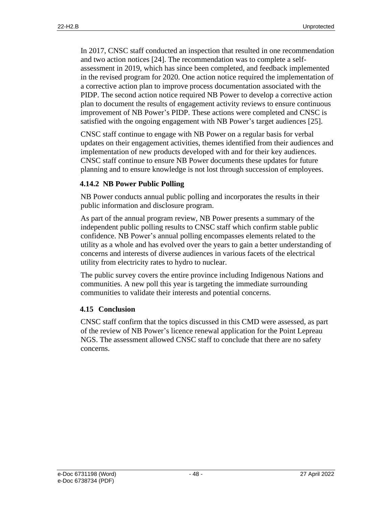In 2017, CNSC staff conducted an inspection that resulted in one recommendation and two action notices [\[24\]](#page-56-11). The recommendation was to complete a selfassessment in 2019, which has since been completed, and feedback implemented in the revised program for 2020. One action notice required the implementation of a corrective action plan to improve process documentation associated with the PIDP. The second action notice required NB Power to develop a corrective action plan to document the results of engagement activity reviews to ensure continuous improvement of NB Power's PIDP. These actions were completed and CNSC is satisfied with the ongoing engagement with NB Power's target audiences [\[25\]](#page-57-0).

CNSC staff continue to engage with NB Power on a regular basis for verbal updates on their engagement activities, themes identified from their audiences and implementation of new products developed with and for their key audiences. CNSC staff continue to ensure NB Power documents these updates for future planning and to ensure knowledge is not lost through succession of employees.

## **4.14.2 NB Power Public Polling**

NB Power conducts annual public polling and incorporates the results in their public information and disclosure program.

As part of the annual program review, NB Power presents a summary of the independent public polling results to CNSC staff which confirm stable public confidence. NB Power's annual polling encompasses elements related to the utility as a whole and has evolved over the years to gain a better understanding of concerns and interests of diverse audiences in various facets of the electrical utility from electricity rates to hydro to nuclear.

The public survey covers the entire province including Indigenous Nations and communities. A new poll this year is targeting the immediate surrounding communities to validate their interests and potential concerns.

#### <span id="page-53-0"></span>**4.15 Conclusion**

CNSC staff confirm that the topics discussed in this CMD were assessed, as part of the review of NB Power's licence renewal application for the Point Lepreau NGS. The assessment allowed CNSC staff to conclude that there are no safety concerns.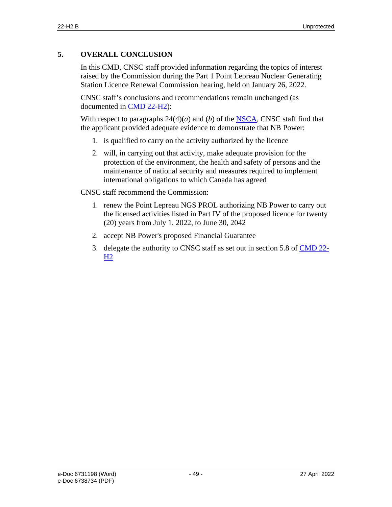## <span id="page-54-0"></span>**5. OVERALL CONCLUSION**

In this CMD, CNSC staff provided information regarding the topics of interest raised by the Commission during the Part 1 Point Lepreau Nuclear Generating Station Licence Renewal Commission hearing, held on January 26, 2022.

CNSC staff's conclusions and recommendations remain unchanged (as documented in CMD [22-H2\)](https://www.nuclearsafety.gc.ca/eng/the-commission/hearings/cmd/pdf/CMD22/CMD22-H2.pdf):

With respect to paragraphs  $24(4)(a)$  and (*b*) of the [NSCA,](https://laws-lois.justice.gc.ca/eng/acts/n-28.3/) CNSC staff find that the applicant provided adequate evidence to demonstrate that NB Power:

- 1. is qualified to carry on the activity authorized by the licence
- 2. will, in carrying out that activity, make adequate provision for the protection of the environment, the health and safety of persons and the maintenance of national security and measures required to implement international obligations to which Canada has agreed

CNSC staff recommend the Commission:

- 1. renew the Point Lepreau NGS PROL authorizing NB Power to carry out the licensed activities listed in Part IV of the proposed licence for twenty (20) years from July 1, 2022, to June 30, 2042
- 2. accept NB Power's proposed Financial Guarantee
- 3. delegate the authority to CNSC staff as set out in section 5.8 of [CMD](https://www.nuclearsafety.gc.ca/eng/the-commission/hearings/cmd/pdf/CMD22/CMD22-H2.pdf#page13) 22-  $H2$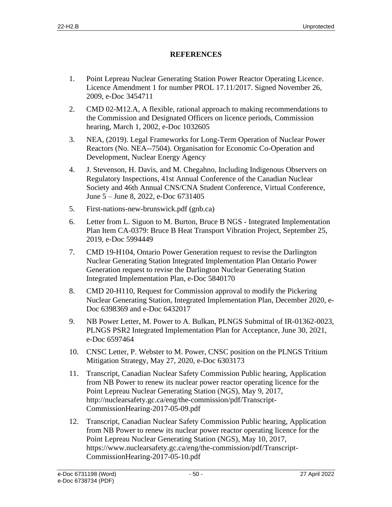## **REFERENCES**

- <span id="page-55-1"></span><span id="page-55-0"></span>1. Point Lepreau Nuclear Generating Station Power Reactor Operating Licence. Licence Amendment 1 for number PROL 17.11/2017. Signed November 26, 2009, e-Doc 3454711
- <span id="page-55-2"></span>2. CMD 02-M12.A, A flexible, rational approach to making recommendations to the Commission and Designated Officers on licence periods, Commission hearing, March 1, 2002, e-Doc [1032605](pcdocs://E-DOCS/1032605/R)
- <span id="page-55-3"></span>3. NEA, (2019). Legal Frameworks for Long-Term Operation of Nuclear Power Reactors (No. NEA--7504). Organisation for Economic Co-Operation and Development, Nuclear Energy Agency
- <span id="page-55-5"></span>4. J. Stevenson, H. Davis, and M. Chegahno, Including Indigenous Observers on Regulatory Inspections, 41st Annual Conference of the Canadian Nuclear Society and 46th Annual CNS/CNA Student Conference, Virtual Conference, June 5 – June 8, 2022, e-Doc 6731405
- <span id="page-55-4"></span>5. [First-nations-new-brunswick.pdf \(gnb.ca\)](https://www2.gnb.ca/content/dam/gnb/Departments/aas-saa/images/maps/First-nations-new-brunswick.pdf)
- <span id="page-55-6"></span>6. Letter from L. Siguon to M. Burton, Bruce B NGS - Integrated Implementation Plan Item CA-0379: Bruce B Heat Transport Vibration Project, September 25, 2019, e-Doc 5994449
- <span id="page-55-7"></span>7. CMD 19-H104, Ontario Power Generation request to revise the Darlington Nuclear Generating Station Integrated Implementation Plan Ontario Power Generation request to revise the Darlington Nuclear Generating Station Integrated Implementation Plan, e-Doc 5840170
- <span id="page-55-8"></span>8. CMD 20-H110, Request for Commission approval to modify the Pickering Nuclear Generating Station, Integrated Implementation Plan, December 2020, e-Doc 6398369 and e-Doc 6432017
- <span id="page-55-9"></span>9. NB Power Letter, M. Power to A. Bulkan, PLNGS Submittal of IR-01362-0023, PLNGS PSR2 Integrated Implementation Plan for Acceptance, June 30, 2021, e-Doc 6597464
- <span id="page-55-10"></span>10. CNSC Letter, P. Webster to M. Power, CNSC position on the PLNGS Tritium Mitigation Strategy, May 27, 2020, e-Doc 6303173
- <span id="page-55-11"></span>11. Transcript, Canadian Nuclear Safety Commission Public hearing, Application from NB Power to renew its nuclear power reactor operating licence for the Point Lepreau Nuclear Generating Station (NGS), May 9, 2017, [http://nuclearsafety.gc.ca/eng/the-commission/pdf/Transcript-](http://nuclearsafety.gc.ca/eng/the-commission/pdf/Transcript-CommissionHearing-2017-05-09.pdf)[CommissionHearing-2017-05-09.pdf](http://nuclearsafety.gc.ca/eng/the-commission/pdf/Transcript-CommissionHearing-2017-05-09.pdf)
- <span id="page-55-12"></span>12. Transcript, Canadian Nuclear Safety Commission Public hearing, Application from NB Power to renew its nuclear power reactor operating licence for the Point Lepreau Nuclear Generating Station (NGS), May 10, 2017, [https://www.nuclearsafety.gc.ca/eng/the-commission/pdf/Transcript-](https://www.nuclearsafety.gc.ca/eng/the-commission/pdf/Transcript-CommissionHearing-2017-05-10.pdf)[CommissionHearing-2017-05-10.pdf](https://www.nuclearsafety.gc.ca/eng/the-commission/pdf/Transcript-CommissionHearing-2017-05-10.pdf)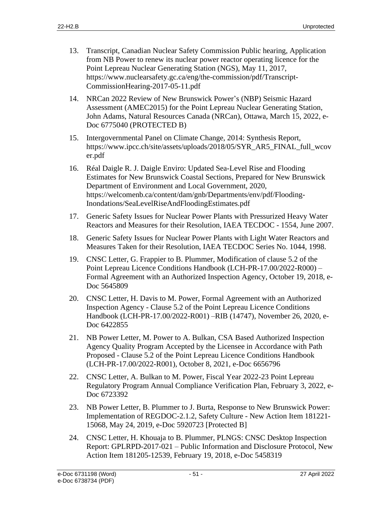- <span id="page-56-0"></span>13. Transcript, Canadian Nuclear Safety Commission Public hearing, Application from NB Power to renew its nuclear power reactor operating licence for the Point Lepreau Nuclear Generating Station (NGS), May 11, 2017, [https://www.nuclearsafety.gc.ca/eng/the-commission/pdf/Transcript-](https://www.nuclearsafety.gc.ca/eng/the-commission/pdf/Transcript-CommissionHearing-2017-05-11.pdf)[CommissionHearing-2017-05-11.pdf](https://www.nuclearsafety.gc.ca/eng/the-commission/pdf/Transcript-CommissionHearing-2017-05-11.pdf)
- <span id="page-56-1"></span>14. NRCan 2022 Review of New Brunswick Power's (NBP) Seismic Hazard Assessment (AMEC2015) for the Point Lepreau Nuclear Generating Station, John Adams, Natural Resources Canada (NRCan), Ottawa, March 15, 2022, e-Doc 6775040 (PROTECTED B)
- <span id="page-56-2"></span>15. Intergovernmental Panel on Climate Change, 2014: Synthesis Report, [https://www.ipcc.ch/site/assets/uploads/2018/05/SYR\\_AR5\\_FINAL\\_full\\_wcov](https://www.ipcc.ch/site/assets/uploads/2018/05/SYR_AR5_FINAL_full_wcover.pdf) [er.pdf](https://www.ipcc.ch/site/assets/uploads/2018/05/SYR_AR5_FINAL_full_wcover.pdf)
- <span id="page-56-3"></span>16. Réal Daigle R. J. Daigle Enviro: Updated Sea-Level Rise and Flooding Estimates for New Brunswick Coastal Sections, Prepared for New Brunswick Department of Environment and Local Government, 2020, [https://welcomenb.ca/content/dam/gnb/Departments/env/pdf/Flooding-](https://welcomenb.ca/content/dam/gnb/Departments/env/pdf/Flooding-Inondations/SeaLevelRiseAndFloodingEstimates.pdf)[Inondations/SeaLevelRiseAndFloodingEstimates.pdf](https://welcomenb.ca/content/dam/gnb/Departments/env/pdf/Flooding-Inondations/SeaLevelRiseAndFloodingEstimates.pdf)
- <span id="page-56-4"></span>17. Generic Safety Issues for Nuclear Power Plants with Pressurized Heavy Water Reactors and Measures for their Resolution, IAEA TECDOC - 1554, June 2007.
- <span id="page-56-5"></span>18. Generic Safety Issues for Nuclear Power Plants with Light Water Reactors and Measures Taken for their Resolution, IAEA TECDOC Series No. 1044, 1998.
- <span id="page-56-6"></span>19. CNSC Letter, G. Frappier to B. Plummer, Modification of clause 5.2 of the Point Lepreau Licence Conditions Handbook (LCH-PR-17.00/2022-R000) – Formal Agreement with an Authorized Inspection Agency, October 19, 2018, e-Doc 5645809
- <span id="page-56-7"></span>20. CNSC Letter, H. Davis to M. Power, Formal Agreement with an Authorized Inspection Agency - Clause 5.2 of the Point Lepreau Licence Conditions Handbook (LCH-PR-17.00/2022-R001) –RIB (14747), November 26, 2020, e-Doc 6422855
- <span id="page-56-8"></span>21. NB Power Letter, M. Power to A. Bulkan, CSA Based Authorized Inspection Agency Quality Program Accepted by the Licensee in Accordance with Path Proposed - Clause 5.2 of the Point Lepreau Licence Conditions Handbook (LCH-PR-17.00/2022-R001), October 8, 2021, e-Doc 6656796
- <span id="page-56-9"></span>22. CNSC Letter, A. Bulkan to M. Power, Fiscal Year 2022-23 Point Lepreau Regulatory Program Annual Compliance Verification Plan, February 3, 2022, e-Doc 6723392
- <span id="page-56-10"></span>23. NB Power Letter, B. Plummer to J. Burta, Response to New Brunswick Power: Implementation of REGDOC-2.1.2, Safety Culture - New Action Item 181221- 15068, May 24, 2019, e-Doc 5920723 [Protected B]
- <span id="page-56-11"></span>24. CNSC Letter, H. Khouaja to B. Plummer, PLNGS: CNSC Desktop Inspection Report: GPLRPD-2017-021 – Public Information and Disclosure Protocol, New Action Item 181205-12539, February 19, 2018, e-Doc 5458319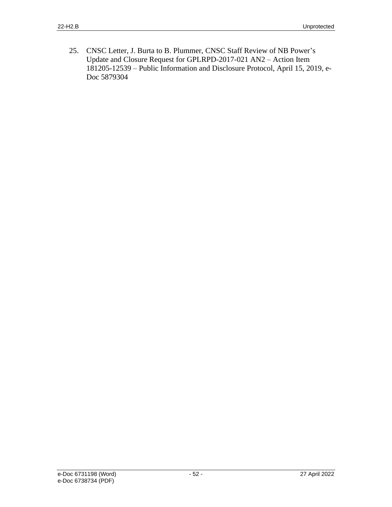<span id="page-57-0"></span>25. CNSC Letter, J. Burta to B. Plummer, CNSC Staff Review of NB Power's Update and Closure Request for GPLRPD-2017-021 AN2 – Action Item 181205-12539 – Public Information and Disclosure Protocol, April 15, 2019, e-Doc 5879304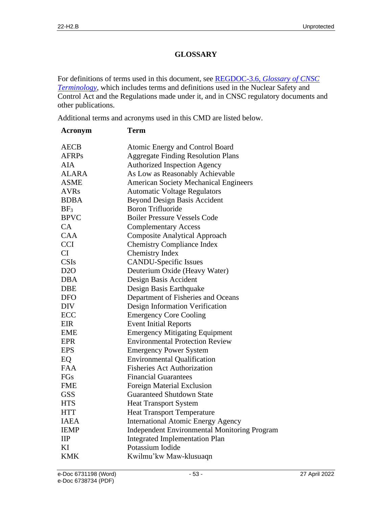## **GLOSSARY**

<span id="page-58-0"></span>For definitions of terms used in this document, see REGDOC-3.6, *[Glossary of CNSC](http://www.nuclearsafety.gc.ca/eng/acts-and-regulations/regulatory-documents/published/html/regdoc3-6/)  [Terminology](http://www.nuclearsafety.gc.ca/eng/acts-and-regulations/regulatory-documents/published/html/regdoc3-6/)*, which includes terms and definitions used in the Nuclear Safety and Control Act and the Regulations made under it, and in CNSC regulatory documents and other publications.

Additional terms and acronyms used in this CMD are listed below.

| <b>Acronym</b>  | Term                                                |
|-----------------|-----------------------------------------------------|
| <b>AECB</b>     | <b>Atomic Energy and Control Board</b>              |
| <b>AFRPs</b>    | <b>Aggregate Finding Resolution Plans</b>           |
| <b>AIA</b>      | <b>Authorized Inspection Agency</b>                 |
| <b>ALARA</b>    | As Low as Reasonably Achievable                     |
| <b>ASME</b>     | <b>American Society Mechanical Engineers</b>        |
| <b>AVRs</b>     | <b>Automatic Voltage Regulators</b>                 |
| <b>BDBA</b>     | <b>Beyond Design Basis Accident</b>                 |
| BF <sub>3</sub> | <b>Boron Trifluoride</b>                            |
| <b>BPVC</b>     | <b>Boiler Pressure Vessels Code</b>                 |
| CA              | <b>Complementary Access</b>                         |
| CAA             | <b>Composite Analytical Approach</b>                |
| <b>CCI</b>      | <b>Chemistry Compliance Index</b>                   |
| CI              | <b>Chemistry Index</b>                              |
| <b>CSIs</b>     | <b>CANDU-Specific Issues</b>                        |
| D2O             | Deuterium Oxide (Heavy Water)                       |
| <b>DBA</b>      | Design Basis Accident                               |
| <b>DBE</b>      | Design Basis Earthquake                             |
| <b>DFO</b>      | Department of Fisheries and Oceans                  |
| <b>DIV</b>      | Design Information Verification                     |
| <b>ECC</b>      | <b>Emergency Core Cooling</b>                       |
| <b>EIR</b>      | <b>Event Initial Reports</b>                        |
| <b>EME</b>      | <b>Emergency Mitigating Equipment</b>               |
| <b>EPR</b>      | <b>Environmental Protection Review</b>              |
| <b>EPS</b>      | <b>Emergency Power System</b>                       |
| EQ              | <b>Environmental Qualification</b>                  |
| <b>FAA</b>      | <b>Fisheries Act Authorization</b>                  |
| FGs             | <b>Financial Guarantees</b>                         |
| <b>FME</b>      | <b>Foreign Material Exclusion</b>                   |
| <b>GSS</b>      | <b>Guaranteed Shutdown State</b>                    |
| <b>HTS</b>      | <b>Heat Transport System</b>                        |
| <b>HTT</b>      | <b>Heat Transport Temperature</b>                   |
| <b>IAEA</b>     | <b>International Atomic Energy Agency</b>           |
| <b>IEMP</b>     | <b>Independent Environmental Monitoring Program</b> |
| $\mathbf{H}$    | <b>Integrated Implementation Plan</b>               |
| ΚI              | Potassium Iodide                                    |
| <b>KMK</b>      | Kwilmu'kw Maw-klusuagn                              |